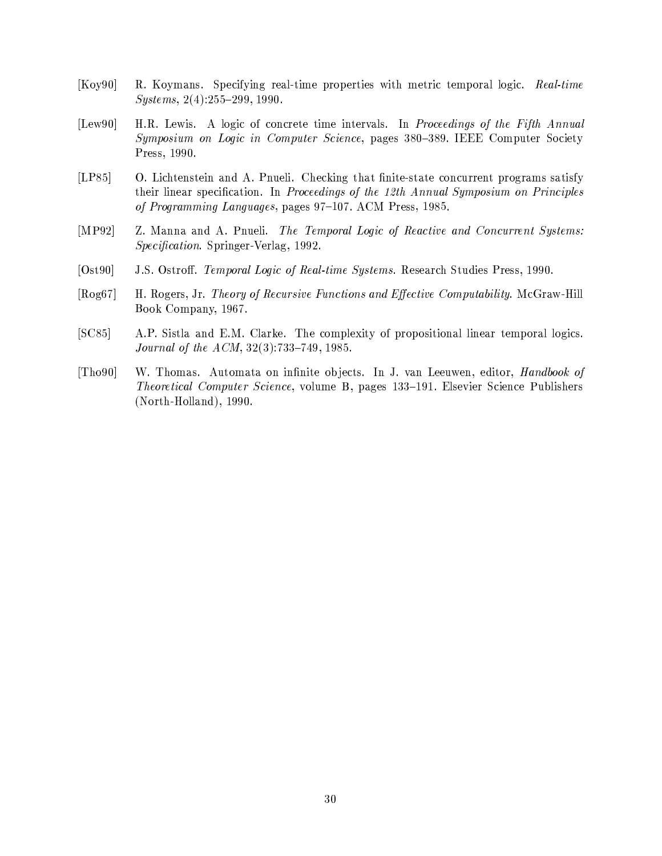- $[Koy90]$ R. Koymans. Specifying real-time properties with metric temporal logic. Real-time  $Systems, 2(4):255-299, 1990.$
- H.R. Lewis. A logic of concrete time intervals. In Proceedings of the Fifth Annual  $[Law90]$ Symposium on Logic in Computer Science, pages 380-389. IEEE Computer Society Press, 1990.
- $[LP85]$ O. Lichtenstein and A. Pnueli. Checking that finite-state concurrent programs satisfy their linear specification. In Proceedings of the 12th Annual Symposium on Principles of Programming Languages, pages 97-107. ACM Press, 1985.
- [ $MP92$ ] Z. Manna and A. Pnueli. The Temporal Logic of Reactive and Concurrent Systems: *Specification.* Springer-Verlag, 1992.
- $[Ost90]$ J.S. Ostroff. Temporal Logic of Real-time Systems. Research Studies Press, 1990.
- H. Rogers, Jr. Theory of Recursive Functions and Effective Computability. McGraw-Hill  $[Rog67]$ Book Company, 1967.
- $[SC85]$ A.P. Sistla and E.M. Clarke. The complexity of propositional linear temporal logics. *Journal of the ACM*,  $32(3):733-749$ , 1985.
- $[Tho90]$ W. Thomas. Automata on infinite objects. In J. van Leeuwen, editor, *Handbook of* Theoretical Computer Science, volume B, pages 133-191. Elsevier Science Publishers  $(North-Holland), 1990.$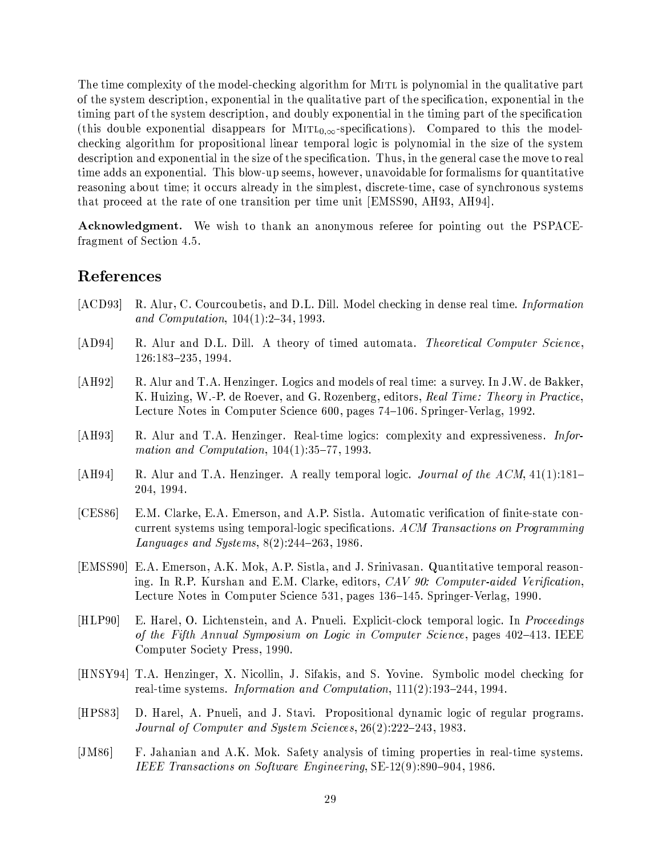The time complexity of the model-checking algorithm for MITL is polynomial in the qualitative part of the system description, exponential in the qualitative part of the specification, exponential in the timing part of the system description, and doubly exponential in the timing part of the specification (this double exponential disappears for  $MITL_{0,\infty}$ -specifications). Compared to this the modelchecking algorithm for propositional linear temporal logic is polynomial in the size of the system description and exponential in the size of the specification. Thus, in the general case the move to real time adds an exponential. This blow-up seems, however, unavoidable for formalisms for quantitative reasoning about time; it occurs already in the simplest, discrete-time, case of synchronous systems that proceed at the rate of one transition per time unit [EMSS90, AH93, AH94].

**Acknowledgment.** We wish to thank an anonymous referee for pointing out the PSPACEfragment of Section 4.5.

# References

- $[ACD93]$ R. Alur, C. Courcoubetis, and D.L. Dill. Model checking in dense real time. Information and Computation,  $104(1):2-34$ , 1993.
- $[AD94]$ R. Alur and D.L. Dill. A theory of timed automata. Theoretical Computer Science, 126:183-235, 1994.
- $[AH92]$ R. Alur and T.A. Henzinger. Logics and models of real time: a survey. In J.W. de Bakker, K. Huizing, W.-P. de Roever, and G. Rozenberg, editors, Real Time: Theory in Practice, Lecture Notes in Computer Science 600, pages 74-106. Springer-Verlag, 1992.
- $[AH93]$ R. Alur and T.A. Henzinger. Real-time logics: complexity and expressiveness. Information and Computation,  $104(1):35-77, 1993$ .
- $[AH94]$ R. Alur and T.A. Henzinger. A really temporal logic. Journal of the ACM, 41(1):181– 204, 1994.
- $[CES86]$ E.M. Clarke, E.A. Emerson, and A.P. Sistla. Automatic verification of finite-state concurrent systems using temporal-logic specifications. ACM Transactions on Programming Languages and Systems,  $8(2):244-263, 1986$ .
- [EMSS90] E.A. Emerson, A.K. Mok, A.P. Sistla, and J. Srinivasan. Quantitative temporal reasoning. In R.P. Kurshan and E.M. Clarke, editors, CAV 90: Computer-aided Verification, Lecture Notes in Computer Science 531, pages 136–145. Springer-Verlag, 1990.
- $[HLP90]$ E. Harel, O. Lichtenstein, and A. Pnueli. Explicit-clock temporal logic. In Proceedings of the Fifth Annual Symposium on Logic in Computer Science, pages 402-413. IEEE Computer Society Press, 1990.
- [HNSY94] T.A. Henzinger, X. Nicollin, J. Sifakis, and S. Yovine. Symbolic model checking for real-time systems. Information and Computation, 111(2):193-244, 1994.
- $[HPS83]$ D. Harel, A. Pnueli, and J. Stavi. Propositional dynamic logic of regular programs. Journal of Computer and System Sciences, 26(2):222-243, 1983.
- $[JM86]$ F. Jahanian and A.K. Mok. Safety analysis of timing properties in real-time systems. IEEE Transactions on Software Engineering, SE-12(9):890-904, 1986.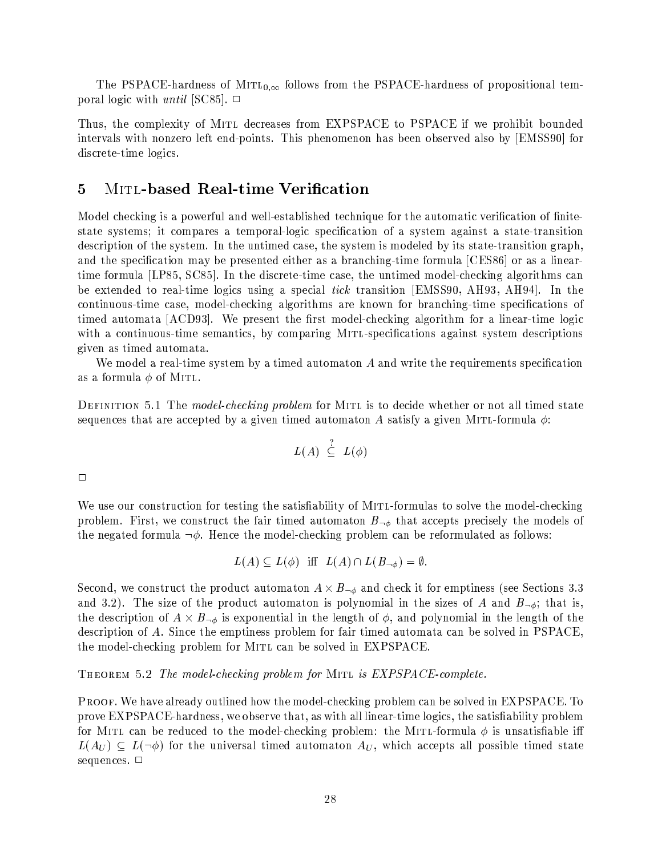The PSPACE-hardness of  $Mirt_{0,\infty}$  follows from the PSPACE-hardness of propositional temporal logic with *until* [SC85].  $\Box$ 

Thus, the complexity of MITL decreases from EXPSPACE to PSPACE if we prohibit bounded intervals with nonzero left end-points. This phenomenon has been observed also by [EMSS90] for discrete-time logics.

## $\overline{5}$ **MITL-based Real-time Verification**

Model checking is a powerful and well-established technique for the automatic verification of finitestate systems; it compares a temporal-logic specification of a system against a state-transition description of the system. In the untimed case, the system is modeled by its state-transition graph, and the specification may be presented either as a branching-time formula [CES86] or as a lineartime formula [LP85, SC85]. In the discrete-time case, the untimed model-checking algorithms can be extended to real-time logics using a special tick transition [EMSS90, AH93, AH94]. In the continuous-time case, model-checking algorithms are known for branching-time specifications of timed automata [ACD93]. We present the first model-checking algorithm for a linear-time logic with a continuous-time semantics, by comparing MITL-specifications against system descriptions given as timed automata.

We model a real-time system by a timed automaton  $A$  and write the requirements specification as a formula  $\phi$  of MITL.

DEFINITION 5.1 The model-checking problem for MITL is to decide whether or not all timed state sequences that are accepted by a given timed automaton A satisfy a given MITL-formula  $\phi$ .

$$
L(A) \stackrel{?}{\subseteq} L(\phi)
$$

 $\Box$ 

We use our construction for testing the satisfiability of MITL-formulas to solve the model-checking problem. First, we construct the fair timed automaton  $B_{\neg \phi}$  that accepts precisely the models of the negated formula  $\neg \phi$ . Hence the model-checking problem can be reformulated as follows:

$$
L(A) \subseteq L(\phi) \text{ iff } L(A) \cap L(B_{\neg \phi}) = \emptyset.
$$

Second, we construct the product automaton  $A \times B_{\neg \phi}$  and check it for emptiness (see Sections 3.3 and 3.2). The size of the product automaton is polynomial in the sizes of A and  $B_{\neg \phi}$ ; that is, the description of  $A \times B_{\neg \phi}$  is exponential in the length of  $\phi$ , and polynomial in the length of the description of A. Since the emptiness problem for fair timed automata can be solved in PSPACE, the model-checking problem for MITL can be solved in EXPSPACE.

THEOREM 5.2 The model-checking problem for MITL is EXPSPACE-complete.

PROOF. We have already outlined how the model-checking problem can be solved in EXPSPACE. To prove EXPSPACE-hardness, we observe that, as with all linear-time logics, the satisfiability problem for MITL can be reduced to the model-checking problem: the MITL-formula  $\phi$  is unsatisfiable iff  $L(A_U) \subseteq L(\neg \phi)$  for the universal timed automaton  $A_U$ , which accepts all possible timed state sequences. □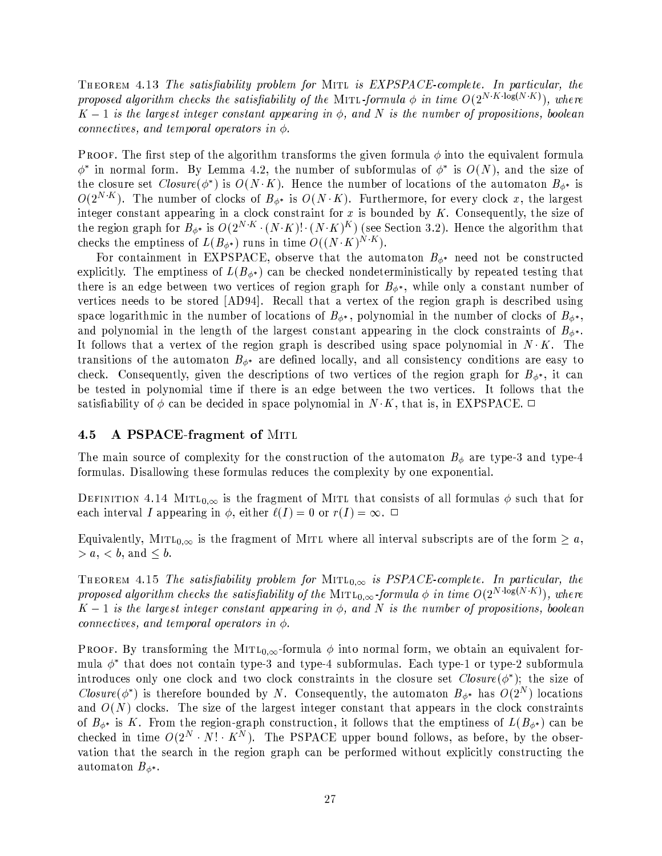THEOREM 4.13 The satisfiability problem for MITL is EXPSPACE-complete. In particular, the proposed algorithm checks the satisfiability of the MITL-formula  $\phi$  in time  $O(2^{N \cdot K \log(N \cdot K)})$ , where  $K-1$  is the largest integer constant appearing in  $\phi$ , and N is the number of propositions, boolean connectives, and temporal operators in  $\phi$ .

**PROOF.** The first step of the algorithm transforms the given formula  $\phi$  into the equivalent formula  $\phi^*$  in normal form. By Lemma 4.2, the number of subformulas of  $\phi^*$  is  $O(N)$ , and the size of the closure set  $Closure(\phi^*)$  is  $O(N \cdot K)$ . Hence the number of locations of the automaton  $B_{\phi^*}$  is  $O(2^{N\cdot K})$ . The number of clocks of  $B_{\phi^*}$  is  $O(N\cdot K)$ . Furthermore, for every clock x, the largest integer constant appearing in a clock constraint for  $x$  is bounded by  $K$ . Consequently, the size of the region graph for  $B_{\phi^*}$  is  $O(2^{N \cdot K} \cdot (N \cdot K)! \cdot (N \cdot K)^K)$  (see Section 3.2). Hence the algorithm that checks the emptiness of  $L(B_{\phi^*})$  runs in time  $O((N \cdot K)^{N \cdot K})$ .

For containment in EXPSPACE, observe that the automaton  $B_{\phi^*}$  need not be constructed explicitly. The emptiness of  $L(B_{\phi^*})$  can be checked nondeterministically by repeated testing that there is an edge between two vertices of region graph for  $B_{\phi^*}$ , while only a constant number of vertices needs to be stored [AD94]. Recall that a vertex of the region graph is described using space logarithmic in the number of locations of  $B_{\phi^*}$ , polynomial in the number of clocks of  $B_{\phi^*}$ , and polynomial in the length of the largest constant appearing in the clock constraints of  $B_{\phi^*}$ . It follows that a vertex of the region graph is described using space polynomial in  $N \cdot K$ . The transitions of the automaton  $B_{\phi^*}$  are defined locally, and all consistency conditions are easy to check. Consequently, given the descriptions of two vertices of the region graph for  $B_{\phi^*}$ , it can be tested in polynomial time if there is an edge between the two vertices. It follows that the satisfiability of  $\phi$  can be decided in space polynomial in  $N \cdot K$ , that is, in EXPSPACE.  $\Box$ 

#### A PSPACE-fragment of MITL  $4.5$

The main source of complexity for the construction of the automaton  $B_{\phi}$  are type-3 and type-4 formulas. Disallowing these formulas reduces the complexity by one exponential.

DEFINITION 4.14 MITL<sub>0. $\infty$ </sub> is the fragment of MITL that consists of all formulas  $\phi$  such that for each interval I appearing in  $\phi$ , either  $\ell(I) = 0$  or  $r(I) = \infty$ .  $\Box$ 

Equivalently, MITL<sub>0, $\infty$ </sub> is the fragment of MITL where all interval subscripts are of the form  $\geq a$ ,  $> a, < b, \text{ and } \leq b.$ 

THEOREM 4.15 The satisfiability problem for MITL<sub>0, $\infty$ </sub> is PSPACE-complete. In particular, the proposed algorithm checks the satisfiability of the MITL<sub>0, $\infty$ </sub>-formula  $\phi$  in time  $O(2^{N \cdot \log(N \cdot K)})$ , where  $K-1$  is the largest integer constant appearing in  $\phi$ , and N is the number of propositions, boolean connectives, and temporal operators in  $\phi$ .

**PROOF.** By transforming the MITL<sub>0, $\infty$ </sub>-formula  $\phi$  into normal form, we obtain an equivalent formula  $\phi^*$  that does not contain type-3 and type-4 subformulas. Each type-1 or type-2 subformula introduces only one clock and two clock constraints in the closure set  $Closure(\phi^*)$ ; the size of Closure( $\phi^*$ ) is therefore bounded by N. Consequently, the automaton  $B_{\phi^*}$  has  $O(2^N)$  locations and  $O(N)$  clocks. The size of the largest integer constant that appears in the clock constraints of  $B_{\phi^*}$  is K. From the region-graph construction, it follows that the emptiness of  $L(B_{\phi^*})$  can be checked in time  $O(2^N \cdot N! \cdot K^N)$ . The PSPACE upper bound follows, as before, by the observation that the search in the region graph can be performed without explicitly constructing the automaton  $B_{\phi^*}$ .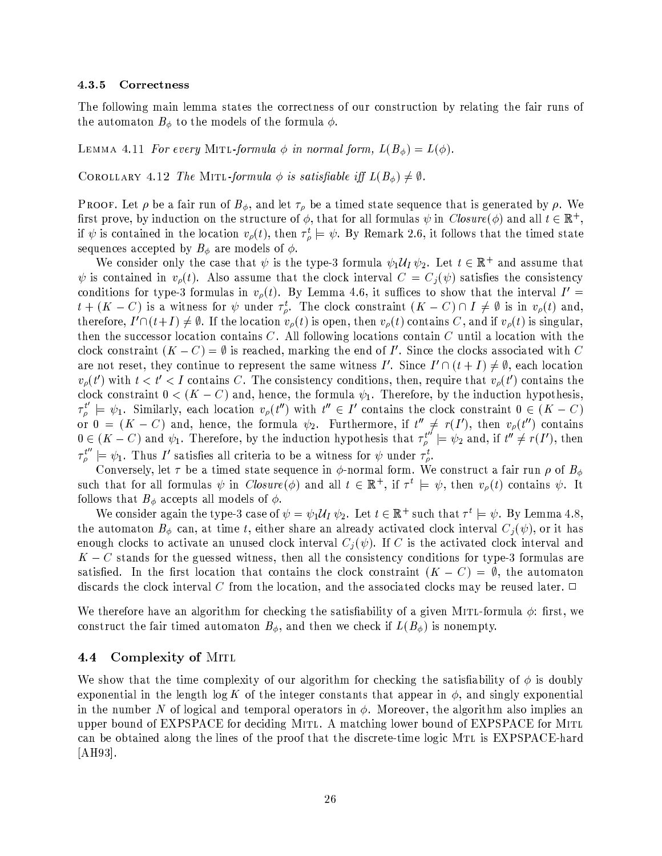#### 4.3.5 Correctness

The following main lemma states the correctness of our construction by relating the fair runs of the automaton  $B_{\phi}$  to the models of the formula  $\phi$ .

LEMMA 4.11 For every MITL-formula  $\phi$  in normal form,  $L(B_{\phi}) = L(\phi)$ .

COROLLARY 4.12 The MITL-formula  $\phi$  is satisfiable iff  $L(B_{\phi}) \neq \emptyset$ .

**PROOF.** Let  $\rho$  be a fair run of  $B_{\phi}$ , and let  $\tau_{\rho}$  be a timed state sequence that is generated by  $\rho$ . We first prove, by induction on the structure of  $\phi$ , that for all formulas  $\psi$  in  $Closure(\phi)$  and all  $t \in \mathbb{R}^+,$ if  $\psi$  is contained in the location  $v_{\rho}(t)$ , then  $\tau_{\rho}^t \models \psi$ . By Remark 2.6, it follows that the timed state sequences accepted by  $B_{\phi}$  are models of  $\phi$ .

We consider only the case that  $\psi$  is the type-3 formula  $\psi_1 \mathcal{U}_I \psi_2$ . Let  $t \in \mathbb{R}^+$  and assume that  $\psi$  is contained in  $v_{\rho}(t)$ . Also assume that the clock interval  $C = C_i(\psi)$  satisfies the consistency conditions for type-3 formulas in  $v_{\rho}(t)$ . By Lemma 4.6, it suffices to show that the interval  $I' =$  $t+(K-C)$  is a witness for  $\psi$  under  $\tau_{\rho}^t$ . The clock constraint  $(K-C)\cap I\neq\emptyset$  is in  $v_{\rho}(t)$  and, therefore,  $I' \cap (t+I) \neq \emptyset$ . If the location  $v_{\rho}(t)$  is open, then  $v_{\rho}(t)$  contains C, and if  $v_{\rho}(t)$  is singular, then the successor location contains  $C$ . All following locations contain  $C$  until a location with the clock constraint  $(K - C) = \emptyset$  is reached, marking the end of I'. Since the clocks associated with C are not reset, they continue to represent the same witness I'. Since  $I' \cap (t + I) \neq \emptyset$ , each location  $v_{\rho}(t')$  with  $t < t' < I$  contains C. The consistency conditions, then, require that  $v_{\rho}(t')$  contains the clock constraint  $0 < (K - C)$  and, hence, the formula  $\psi_1$ . Therefore, by the induction hypothesis,  $\tau_{\rho}^{t'} \models \psi_1$ . Similarly, each location  $v_{\rho}(t'')$  with  $t'' \in I'$  contains the clock constraint  $0 \in (K - C)$ or  $0 = (K - C)$  and, hence, the formula  $\psi_2$ . Furthermore, if  $t'' \neq r(I')$ , then  $v_{\rho}(t'')$  contains  $0 \in (K - C)$  and  $\psi_1$ . Therefore, by the induction hypothesis that  $\tau_{\rho}^{t''} \models \psi_2$  and, if  $t'' \neq r(I')$ , then  $\tau_{\rho}^{t''} \models \psi_1$ . Thus I' satisfies all criteria to be a witness for  $\psi$  under  $\tau_{\rho}^t$ .

Conversely, let  $\tau$  be a timed state sequence in  $\phi$ -normal form. We construct a fair run  $\rho$  of  $B_{\phi}$ such that for all formulas  $\psi$  in  $Closure(\phi)$  and all  $t \in \mathbb{R}^+$ , if  $\tau^t \models \psi$ , then  $v_\rho(t)$  contains  $\psi$ . It follows that  $B_{\phi}$  accepts all models of  $\phi$ .

We consider again the type-3 case of  $\psi = \psi_1 \mathcal{U}_I \psi_2$ . Let  $t \in \mathbb{R}^+$  such that  $\tau^t \models \psi$ . By Lemma 4.8, the automaton  $B_{\phi}$  can, at time t, either share an already activated clock interval  $C_i(\psi)$ , or it has enough clocks to activate an unused clock interval  $C_j(\psi)$ . If C is the activated clock interval and  $K-C$  stands for the guessed witness, then all the consistency conditions for type-3 formulas are satisfied. In the first location that contains the clock constraint  $(K - C) = \emptyset$ , the automaton discards the clock interval C from the location, and the associated clocks may be reused later.  $\Box$ 

We therefore have an algorithm for checking the satisfiability of a given MITL-formula  $\phi$ : first, we construct the fair timed automaton  $B_{\phi}$ , and then we check if  $L(B_{\phi})$  is nonempty.

#### Complexity of MITL 4.4

We show that the time complexity of our algorithm for checking the satisfiability of  $\phi$  is doubly exponential in the length  $\log K$  of the integer constants that appear in  $\phi$ , and singly exponential in the number N of logical and temporal operators in  $\phi$ . Moreover, the algorithm also implies an upper bound of EXPSPACE for deciding MITL. A matching lower bound of EXPSPACE for MITL can be obtained along the lines of the proof that the discrete-time logic MTL is EXPSPACE-hard  $[AH93]$ .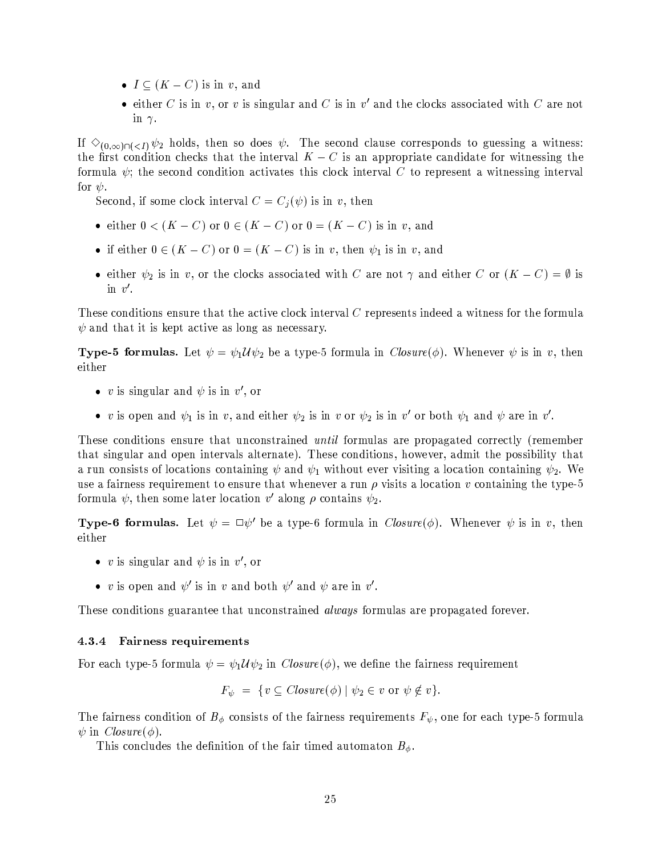- $I \subseteq (K C)$  is in v, and
- either C is in v, or v is singular and C is in v' and the clocks associated with C are not in  $\gamma$ .

If  $\Diamond_{(0,\infty)\cap(-I)}\psi_2$  holds, then so does  $\psi$ . The second clause corresponds to guessing a witness: the first condition checks that the interval  $K - C$  is an appropriate candidate for witnessing the formula  $\psi$ ; the second condition activates this clock interval C to represent a witnessing interval for  $\psi$ .

Second, if some clock interval  $C = C_j(\psi)$  is in v, then

- either  $0 < (K C)$  or  $0 \in (K C)$  or  $0 = (K C)$  is in v, and
- if either  $0 \in (K C)$  or  $0 = (K C)$  is in v, then  $\psi_1$  is in v, and
- either  $\psi_2$  is in v, or the clocks associated with C are not  $\gamma$  and either C or  $(K C) = \emptyset$  is in  $v'$ .

These conditions ensure that the active clock interval  $C$  represents indeed a witness for the formula  $\psi$  and that it is kept active as long as necessary.

**Type-5 formulas.** Let  $\psi = \psi_1 \mathcal{U} \psi_2$  be a type-5 formula in *Closure*( $\phi$ ). Whenever  $\psi$  is in v, then either

- v is singular and  $\psi$  is in v', or
- v is open and  $\psi_1$  is in v, and either  $\psi_2$  is in v or  $\psi_2$  is in v' or both  $\psi_1$  and  $\psi$  are in v'.

These conditions ensure that unconstrained *until* formulas are propagated correctly (remember that singular and open intervals alternate). These conditions, however, admit the possibility that a run consists of locations containing  $\psi$  and  $\psi_1$  without ever visiting a location containing  $\psi_2$ . We use a fairness requirement to ensure that whenever a run  $\rho$  visits a location v containing the type-5 formula  $\psi$ , then some later location v' along  $\rho$  contains  $\psi_2$ .

**Type-6 formulas.** Let  $\psi = \Box \psi'$  be a type-6 formula in  $Closure(\phi)$ . Whenever  $\psi$  is in v, then either

- v is singular and  $\psi$  is in v', or
- v is open and  $\psi'$  is in v and both  $\psi'$  and  $\psi$  are in v'.

These conditions guarantee that unconstrained *always* formulas are propagated forever.

#### 4.3.4 **Fairness requirements**

For each type-5 formula  $\psi = \psi_1 \mathcal{U} \psi_2$  in  $Closure(\phi)$ , we define the fairness requirement

$$
F_{\psi} = \{ v \subseteq \text{Closure}(\phi) \mid \psi_2 \in v \text{ or } \psi \notin v \}.
$$

The fairness condition of  $B_{\phi}$  consists of the fairness requirements  $F_{\psi}$ , one for each type-5 formula  $\psi$  in *Closure*( $\phi$ ).

This concludes the definition of the fair timed automaton  $B_{\phi}$ .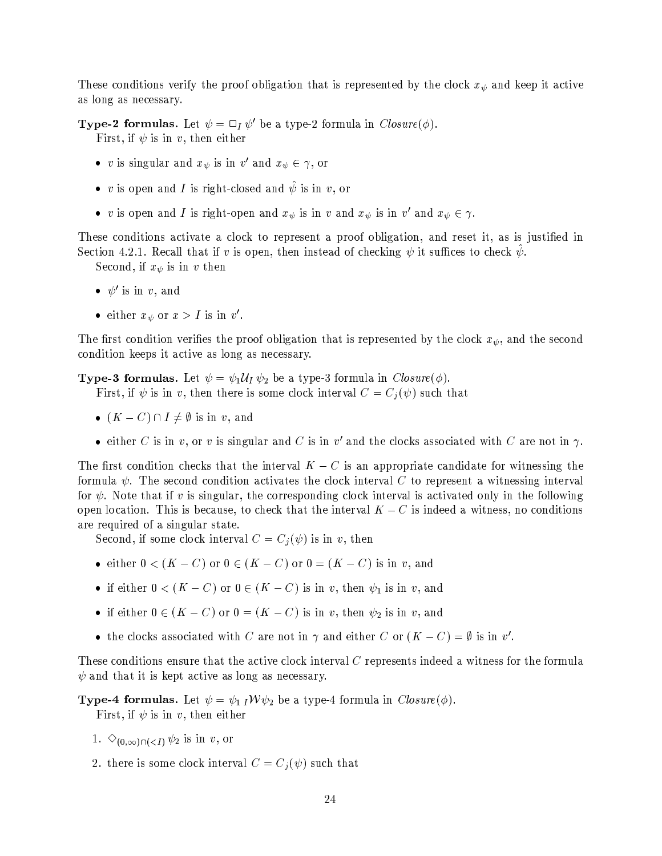These conditions verify the proof obligation that is represented by the clock  $x_{\psi}$  and keep it active as long as necessary.

**Type-2 formulas.** Let  $\psi = \Box_I \psi'$  be a type-2 formula in  $Closure(\phi)$ . First, if  $\psi$  is in v, then either

- v is singular and  $x_{\psi}$  is in  $v'$  and  $x_{\psi} \in \gamma$ , or
- v is open and I is right-closed and  $\hat{\psi}$  is in v, or
- v is open and I is right-open and  $x_{\psi}$  is in v and  $x_{\psi}$  is in v' and  $x_{\psi} \in \gamma$ .

These conditions activate a clock to represent a proof obligation, and reset it, as is justified in Section 4.2.1. Recall that if v is open, then instead of checking  $\psi$  it suffices to check  $\psi$ .

Second, if  $x_{\psi}$  is in  $v$  then

- $\bullet \psi'$  is in v, and
- either  $x_{\psi}$  or  $x > I$  is in v'.

The first condition verifies the proof obligation that is represented by the clock  $x_{\psi}$ , and the second condition keeps it active as long as necessary.

**Type-3 formulas.** Let  $\psi = \psi_1 \mathcal{U}_I \psi_2$  be a type-3 formula in  $Closure(\phi)$ .

First, if  $\psi$  is in v, then there is some clock interval  $C = C_j(\psi)$  such that

- $(K C) \cap I \neq \emptyset$  is in v, and
- either C is in v, or v is singular and C is in v' and the clocks associated with C are not in  $\gamma$ .

The first condition checks that the interval  $K - C$  is an appropriate candidate for witnessing the formula  $\psi$ . The second condition activates the clock interval C to represent a witnessing interval for  $\psi$ . Note that if v is singular, the corresponding clock interval is activated only in the following open location. This is because, to check that the interval  $K - C$  is indeed a witness, no conditions are required of a singular state.

Second, if some clock interval  $C = C_i(\psi)$  is in v, then

- either  $0 < (K C)$  or  $0 \in (K C)$  or  $0 = (K C)$  is in v, and
- if either  $0 < (K C)$  or  $0 \in (K C)$  is in v, then  $\psi_1$  is in v, and
- if either  $0 \in (K C)$  or  $0 = (K C)$  is in v, then  $\psi_2$  is in v, and
- the clocks associated with C are not in  $\gamma$  and either C or  $(K C) = \emptyset$  is in v'.

These conditions ensure that the active clock interval C represents indeed a witness for the formula  $\psi$  and that it is kept active as long as necessary.

**Type-4 formulas.** Let  $\psi = \psi_1 I W \psi_2$  be a type-4 formula in *Closure*( $\phi$ ). First, if  $\psi$  is in v, then either

- 1.  $\Diamond_{(0,\infty)\cap(-I)}\psi_2$  is in v, or
- 2. there is some clock interval  $C = C_j(\psi)$  such that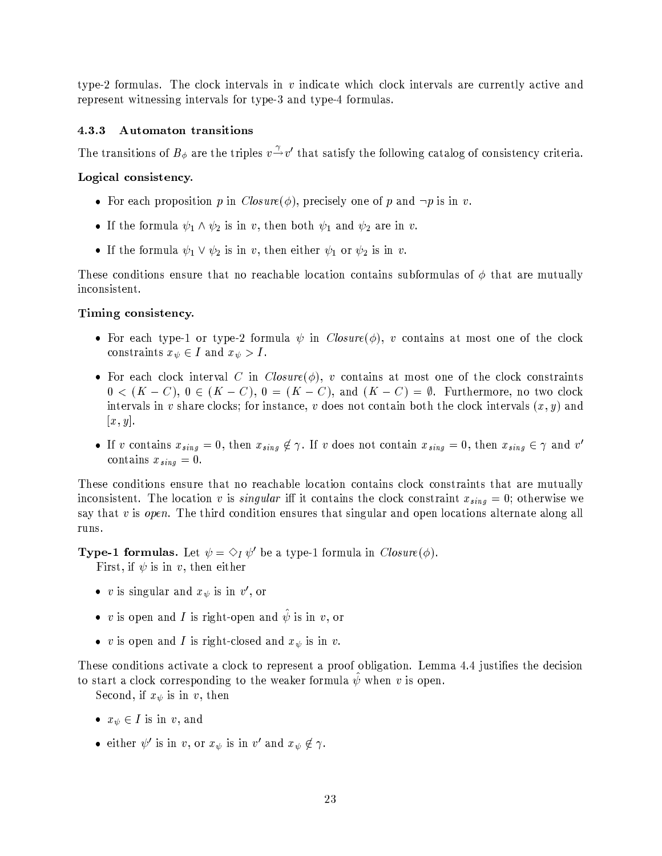type-2 formulas. The clock intervals in v indicate which clock intervals are currently active and represent witnessing intervals for type-3 and type-4 formulas.

#### Automaton transitions  $4.3.3$

The transitions of  $B_{\phi}$  are the triples  $v \rightarrow v'$  that satisfy the following catalog of consistency criteria.

# Logical consistency.

- For each proposition p in  $Closure(\phi)$ , precisely one of p and  $\neg p$  is in v.
- If the formula  $\psi_1 \wedge \psi_2$  is in v, then both  $\psi_1$  and  $\psi_2$  are in v.
- If the formula  $\psi_1 \vee \psi_2$  is in v, then either  $\psi_1$  or  $\psi_2$  is in v.

These conditions ensure that no reachable location contains subformulas of  $\phi$  that are mutually inconsistent.

## Timing consistency.

- For each type-1 or type-2 formula  $\psi$  in  $Closure(\phi)$ , v contains at most one of the clock constraints  $x_{\psi} \in I$  and  $x_{\psi} > I$ .
- For each clock interval C in Closure( $\phi$ ), v contains at most one of the clock constraints  $0 < (K - C), 0 \in (K - C), 0 = (K - C),$  and  $(K - C) = \emptyset$ . Furthermore, no two clock intervals in v share clocks; for instance, v does not contain both the clock intervals  $(x, y)$  and  $[x, y]$ .
- If v contains  $x_{sing} = 0$ , then  $x_{sing} \notin \gamma$ . If v does not contain  $x_{sing} = 0$ , then  $x_{sing} \in \gamma$  and v' contains  $x_{sing} = 0$ .

These conditions ensure that no reachable location contains clock constraints that are mutually inconsistent. The location v is *singular* iff it contains the clock constraint  $x_{sing} = 0$ ; otherwise we say that  $v$  is *open*. The third condition ensures that singular and open locations alternate along all runs.

**Type-1 formulas.** Let  $\psi = \Diamond_I \psi'$  be a type-1 formula in  $Closure(\phi)$ .

First, if  $\psi$  is in v, then either

- v is singular and  $x_{\psi}$  is in  $v'$ , or
- v is open and I is right-open and  $\psi$  is in v, or
- v is open and I is right-closed and  $x_{\psi}$  is in v.

These conditions activate a clock to represent a proof obligation. Lemma 4.4 justifies the decision to start a clock corresponding to the weaker formula  $\psi$  when v is open.

Second, if  $x_{\psi}$  is in v, then

- $x_{\psi} \in I$  is in v, and
- either  $\psi'$  is in v, or  $x_{\psi}$  is in v' and  $x_{\psi} \notin \gamma$ .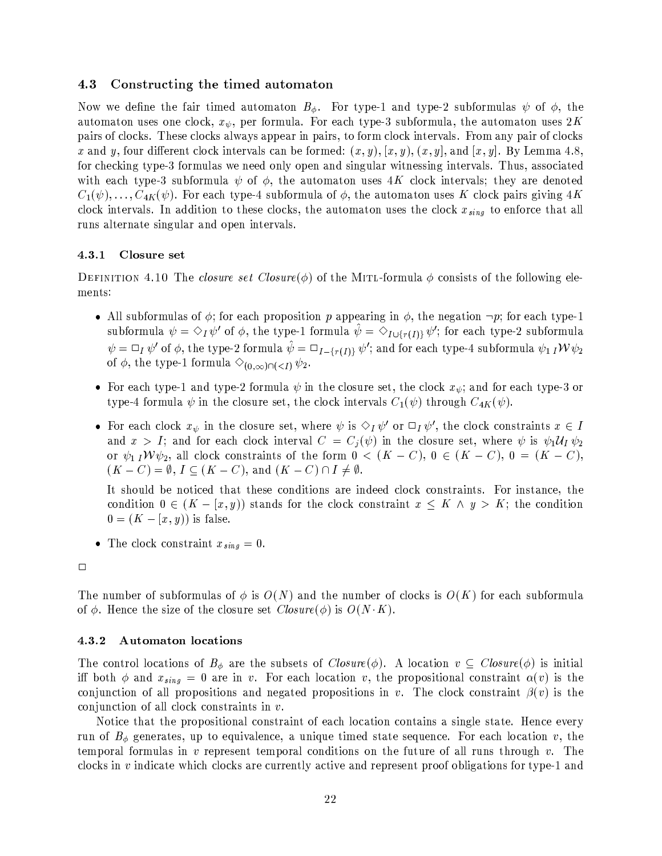#### 4.3 Constructing the timed automaton

Now we define the fair timed automaton  $B_{\phi}$ . For type-1 and type-2 subformulas  $\psi$  of  $\phi$ , the automaton uses one clock,  $x_{\psi}$ , per formula. For each type-3 subformula, the automaton uses  $2K$ pairs of clocks. These clocks always appear in pairs, to form clock intervals. From any pair of clocks x and y, four different clock intervals can be formed:  $(x, y)$ ,  $(x, y)$ ,  $(x, y)$ , and  $[x, y]$ . By Lemma 4.8, for checking type-3 formulas we need only open and singular witnessing intervals. Thus, associated with each type-3 subformula  $\psi$  of  $\phi$ , the automaton uses 4K clock intervals; they are denoted  $C_1(\psi), \ldots, C_{4K}(\psi)$ . For each type-4 subformula of  $\phi$ , the automaton uses K clock pairs giving 4K clock intervals. In addition to these clocks, the automaton uses the clock  $x_{sinq}$  to enforce that all runs alternate singular and open intervals.

#### $4.3.1$ Closure set

DEFINITION 4.10 The *closure set Closure* ( $\phi$ ) of the MITL-formula  $\phi$  consists of the following elements:

- All subformulas of  $\phi$ ; for each proposition p appearing in  $\phi$ , the negation  $\neg p$ ; for each type-1 subformula  $\psi = \Diamond_I \psi'$  of  $\phi$ , the type-1 formula  $\psi = \Diamond_{I \cup \{r(I)\}} \psi'$ ; for each type-2 subformula  $\psi = \Box_I \psi'$  of  $\phi$ , the type-2 formula  $\hat{\psi} = \Box_{I - \{r(I)\}} \psi'$ ; and for each type-4 subformula  $\psi_1 I W \psi_2$ of  $\phi$ , the type-1 formula  $\Diamond_{(0,\infty)\cap(-I)}\psi_2$ .
- For each type-1 and type-2 formula  $\psi$  in the closure set, the clock  $x_{\psi}$ ; and for each type-3 or type-4 formula  $\psi$  in the closure set, the clock intervals  $C_1(\psi)$  through  $C_{4K}(\psi)$ .
- For each clock  $x_{\psi}$  in the closure set, where  $\psi$  is  $\Diamond_I \psi'$  or  $\Box_I \psi'$ , the clock constraints  $x \in I$ and  $x > I$ ; and for each clock interval  $C = C_i(\psi)$  in the closure set, where  $\psi$  is  $\psi_1 \mathcal{U}_I \psi_2$ or  $\psi_1 I W \psi_2$ , all clock constraints of the form  $0 < (K - C), 0 \in (K - C), 0 = (K - C),$  $(K - C) = \emptyset, I \subseteq (K - C),$  and  $(K - C) \cap I \neq \emptyset$ .

It should be noticed that these conditions are indeed clock constraints. For instance, the condition  $0 \in (K - [x, y))$  stands for the clock constraint  $x \leq K \wedge y > K$ ; the condition  $0 = (K - [x, y))$  is false.

• The clock constraint  $x_{sing} = 0$ .

The number of subformulas of  $\phi$  is  $O(N)$  and the number of clocks is  $O(K)$  for each subformula of  $\phi$ . Hence the size of the closure set  $Closure(\phi)$  is  $O(N \cdot K)$ .

#### **Automaton locations** 4.3.2

The control locations of  $B_{\phi}$  are the subsets of  $Closure(\phi)$ . A location  $v \subseteq Closure(\phi)$  is initial iff both  $\phi$  and  $x_{sing} = 0$  are in v. For each location v, the propositional constraint  $\alpha(v)$  is the conjunction of all propositions and negated propositions in v. The clock constraint  $\beta(v)$  is the conjunction of all clock constraints in  $v$ .

Notice that the propositional constraint of each location contains a single state. Hence every run of  $B_{\phi}$  generates, up to equivalence, a unique timed state sequence. For each location v, the temporal formulas in  $v$  represent temporal conditions on the future of all runs through  $v$ . The clocks in  $v$  indicate which clocks are currently active and represent proof obligations for type-1 and

 $\Box$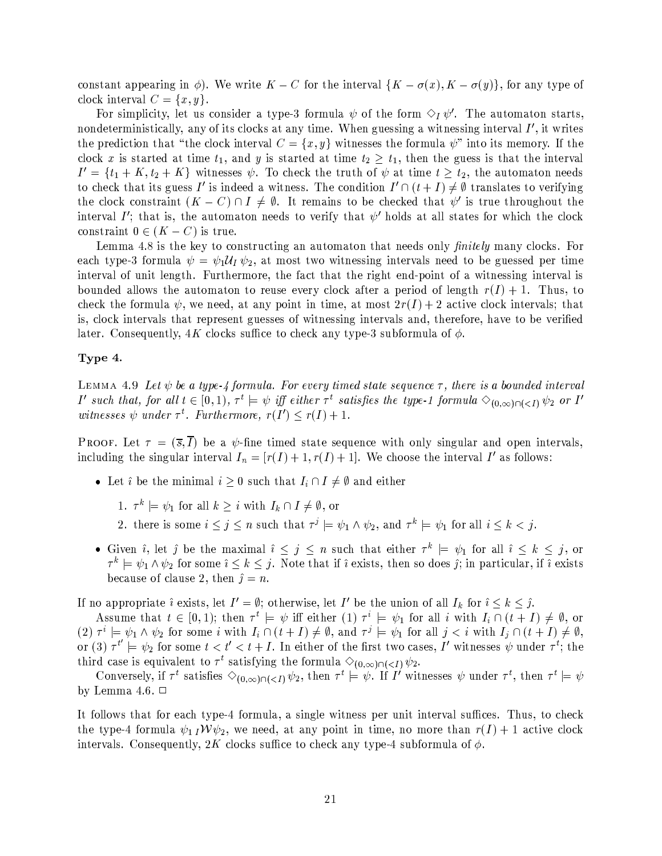constant appearing in  $\phi$ ). We write  $K - C$  for the interval  $\{K - \sigma(x), K - \sigma(y)\}\$ , for any type of clock interval  $C = \{x, y\}.$ 

For simplicity, let us consider a type-3 formula  $\psi$  of the form  $\Diamond_I \psi'$ . The automaton starts, nondeterministically, any of its clocks at any time. When guessing a witnessing interval  $I'$ , it writes the prediction that "the clock interval  $C = \{x, y\}$  witnesses the formula  $\psi$ " into its memory. If the clock x is started at time  $t_1$ , and y is started at time  $t_2 \geq t_1$ , then the guess is that the interval  $I' = \{t_1 + K, t_2 + K\}$  witnesses  $\psi$ . To check the truth of  $\psi$  at time  $t \geq t_2$ , the automaton needs to check that its guess I' is indeed a witness. The condition  $I' \cap (t+I) \neq \emptyset$  translates to verifying the clock constraint  $(K - C) \cap I \neq \emptyset$ . It remains to be checked that  $\psi'$  is true throughout the interval I'; that is, the automaton needs to verify that  $\psi'$  holds at all states for which the clock constraint  $0 \in (K - C)$  is true.

Lemma 4.8 is the key to constructing an automaton that needs only *finitely* many clocks. For each type-3 formula  $\psi = \psi_1 \mathcal{U}_I \psi_2$ , at most two witnessing intervals need to be guessed per time interval of unit length. Furthermore, the fact that the right end-point of a witnessing interval is bounded allows the automaton to reuse every clock after a period of length  $r(I) + 1$ . Thus, to check the formula  $\psi$ , we need, at any point in time, at most  $2r(I) + 2$  active clock intervals; that is, clock intervals that represent guesses of witnessing intervals and, therefore, have to be verified later. Consequently, 4K clocks suffice to check any type-3 subformula of  $\phi$ .

# Type 4.

LEMMA 4.9 Let  $\psi$  be a type-4 formula. For every timed state sequence  $\tau$ , there is a bounded interval I' such that, for all  $t \in [0,1)$ ,  $\tau^t \models \psi$  iff either  $\tau^t$  satisfies the type-1 formula  $\Diamond_{(0,\infty)\cap(\langle \tau \rangle)} \psi_2$  or I' witnesses  $\psi$  under  $\tau^t$ . Furthermore,  $r(I') \leq r(I) + 1$ .

**PROOF.** Let  $\tau = (\overline{s}, \overline{I})$  be a  $\psi$ -fine timed state sequence with only singular and open intervals, including the singular interval  $I_n = [r(I) + 1, r(I) + 1]$ . We choose the interval I' as follows:

- Let i be the minimal  $i \geq 0$  such that  $I_i \cap I \neq \emptyset$  and either
	- 1.  $\tau^k \models \psi_1$  for all  $k \geq i$  with  $I_k \cap I \neq \emptyset$ , or
	- 2. there is some  $i \leq j \leq n$  such that  $\tau^j \models \psi_1 \wedge \psi_2$ , and  $\tau^k \models \psi_1$  for all  $i \leq k < j$ .
- Given i, let j be the maximal  $i \leq j \leq n$  such that either  $\tau^k = \psi_1$  for all  $i \leq k \leq j$ , or  $\tau^k \models \psi_1 \wedge \psi_2$  for some  $i \leq k \leq j$ . Note that if i exists, then so does j; in particular, if i exists because of clause 2, then  $\hat{\jmath} = n$ .

If no appropriate i exists, let  $I' = \emptyset$ ; otherwise, let I' be the union of all  $I_k$  for  $i \leq k \leq j$ .

Assume that  $t \in [0,1)$ ; then  $\tau^t \models \psi$  iff either (1)  $\tau^i \models \psi_1$  for all i with  $I_i \cap (t+I) \neq \emptyset$ , or (2)  $\tau^i \models \psi_1 \wedge \psi_2$  for some i with  $I_i \cap (t+I) \neq \emptyset$ , and  $\tau^j \models \psi_1$  for all  $j < i$  with  $I_j \cap (t+I) \neq \emptyset$ , or (3)  $\tau^{t'} \models \psi_2$  for some  $t < t' < t + I$ . In either of the first two cases, I' witnesses  $\psi$  under  $\tau^t$ ; the third case is equivalent to  $\tau^t$  satisfying the formula  $\Diamond_{(0,\infty)\cap(-\mathcal{I})}\psi_2$ .

Conversely, if  $\tau^t$  satisfies  $\Diamond_{(0,\infty)\cap(\angle I)}\psi_2$ , then  $\tau^t \models \psi$ . If I' witnesses  $\psi$  under  $\tau^t$ , then  $\tau^t \models \psi$ by Lemma 4.6.  $\Box$ 

It follows that for each type-4 formula, a single witness per unit interval suffices. Thus, to check the type-4 formula  $\psi_1 I W \psi_2$ , we need, at any point in time, no more than  $r(I) + 1$  active clock intervals. Consequently, 2K clocks suffice to check any type-4 subformula of  $\phi$ .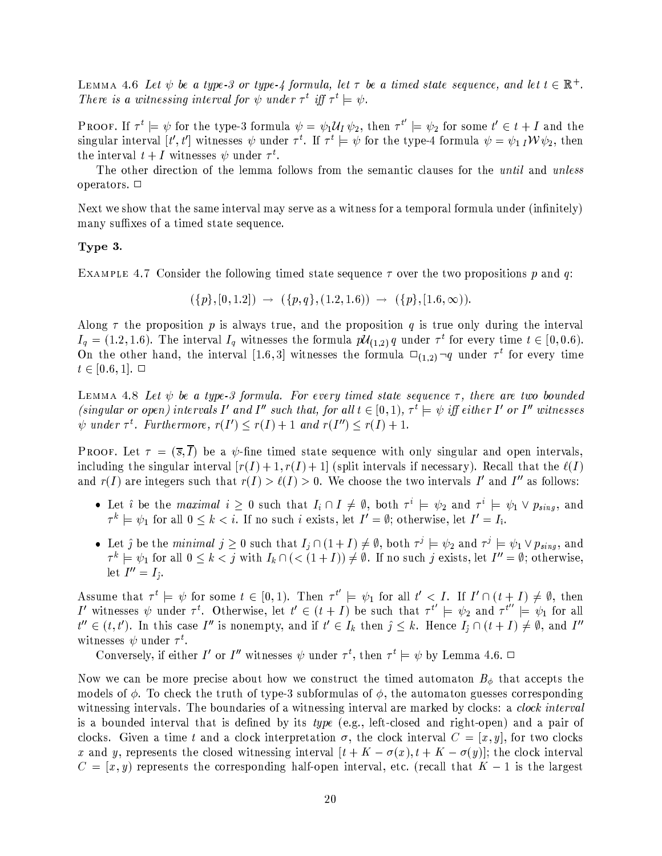LEMMA 4.6 Let  $\psi$  be a type-3 or type-4 formula, let  $\tau$  be a timed state sequence, and let  $t \in \mathbb{R}^+$ . There is a witnessing interval for  $\psi$  under  $\tau^t$  iff  $\tau^t \models \psi$ .

**PROOF.** If  $\tau^t \models \psi$  for the type-3 formula  $\psi = \psi_1 \mathcal{U}_I \psi_2$ , then  $\tau^{t'} \models \psi_2$  for some  $t' \in t + I$  and the singular interval [t', t'] witnesses  $\psi$  under  $\tau^t$ . If  $\tau^t = \psi$  for the type-4 formula  $\psi = \psi_1 N \psi_2$ , then the interval  $t + I$  witnesses  $\psi$  under  $\tau^t$ .

The other direction of the lemma follows from the semantic clauses for the *until* and *unless* operators.  $\Box$ 

Next we show that the same interval may serve as a witness for a temporal formula under (infinitely) many suffixes of a timed state sequence.

# Type 3.

EXAMPLE 4.7 Consider the following timed state sequence  $\tau$  over the two propositions p and q:

$$
(\{p\}, [0, 1.2]) \rightarrow (\{p, q\}, (1.2, 1.6)) \rightarrow (\{p\}, [1.6, \infty)).
$$

Along  $\tau$  the proposition p is always true, and the proposition q is true only during the interval  $I_q = (1.2, 1.6)$ . The interval  $I_q$  witnesses the formula  $p\mathcal{U}_{(1,2)}q$  under  $\tau^t$  for every time  $t \in [0, 0.6)$ . On the other hand, the interval [1.6,3] witnesses the formula  $\square_{(1,2)} \neg q$  under  $\tau^t$  for every time  $t \in [0.6, 1]$ .  $\Box$ 

LEMMA 4.8 Let  $\psi$  be a type-3 formula. For every timed state sequence  $\tau$ , there are two bounded (singular or open) intervals I' and I'' such that, for all  $t \in [0,1)$ ,  $\tau^t \models \psi$  iff either I' or I'' witnesses  $\psi$  under  $\tau^t$ . Furthermore,  $r(I') \leq r(I) + 1$  and  $r(I'') \leq r(I) + 1$ .

**PROOF.** Let  $\tau = (\overline{s}, \overline{I})$  be a  $\psi$ -fine timed state sequence with only singular and open intervals, including the singular interval  $[r(I) + 1, r(I) + 1]$  (split intervals if necessary). Recall that the  $\ell(I)$ and  $r(I)$  are integers such that  $r(I) > \ell(I) > 0$ . We choose the two intervals I' and I'' as follows:

- Let  $\hat{i}$  be the *maximal*  $i \ge 0$  such that  $I_i \cap I \ne \emptyset$ , both  $\tau^i \models \psi_2$  and  $\tau^i \models \psi_1 \vee p_{sing}$ , and  $\tau^k \models \psi_1$  for all  $0 \le k < i$ . If no such *i* exists, let  $I' = \emptyset$ ; otherwise, let  $I' = I_i$ .
- Let j be the minimal  $j \geq 0$  such that  $I_i \cap (1+I) \neq \emptyset$ , both  $\tau^j \models \psi_2$  and  $\tau^j \models \psi_1 \vee p_{sing}$ , and  $\tau^k \models \psi_1$  for all  $0 \leq k < j$  with  $I_k \cap (\langle (1+I) \rangle \neq \emptyset)$ . If no such j exists, let  $I'' = \emptyset$ ; otherwise, let  $I''=I_{\hat{i}}$ .

Assume that  $\tau^t \models \psi$  for some  $t \in [0,1)$ . Then  $\tau^{t'} \models \psi_1$  for all  $t' < I$ . If  $I' \cap (t + I) \neq \emptyset$ , then <br> I' witnesses  $\psi$  under  $\tau^t$ . Otherwise, let  $t' \in (t + I)$  be such that  $\tau^{t'} \models \psi_2$  and  $\tau^{t''} \models \psi_1$  for all  $t'' \in (t,t')$ . In this case I'' is nonempty, and if  $t' \in I_k$  then  $j \leq k$ . Hence  $I_j \cap (t+I) \neq \emptyset$ , and I'' witnesses  $\psi$  under  $\tau^t$ .

Conversely, if either I' or I'' witnesses  $\psi$  under  $\tau^t$ , then  $\tau^t \models \psi$  by Lemma 4.6.  $\Box$ 

Now we can be more precise about how we construct the timed automaton  $B_{\phi}$  that accepts the models of  $\phi$ . To check the truth of type-3 subformulas of  $\phi$ , the automaton guesses corresponding witnessing intervals. The boundaries of a witnessing interval are marked by clocks: a *clock interval* is a bounded interval that is defined by its *type* (e.g., left-closed and right-open) and a pair of clocks. Given a time t and a clock interpretation  $\sigma$ , the clock interval  $C = [x, y]$ , for two clocks x and y, represents the closed witnessing interval  $[t + K - \sigma(x), t + K - \sigma(y)]$ ; the clock interval  $C = [x, y)$  represents the corresponding half-open interval, etc. (recall that  $K - 1$  is the largest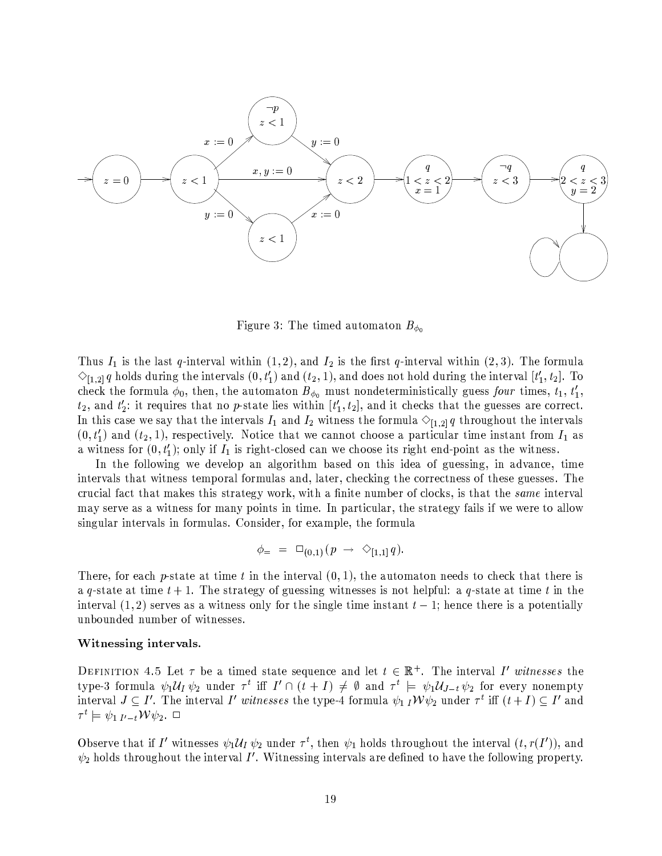

Figure 3: The timed automaton  $B_{\phi_0}$ 

Thus  $I_1$  is the last q-interval within  $(1,2)$ , and  $I_2$  is the first q-interval within  $(2,3)$ . The formula  $\Diamond_{[1,2]} q$  holds during the intervals  $(0,t'_1)$  and  $(t_2,1)$ , and does not hold during the interval  $[t'_1,t_2]$ . To check the formula  $\phi_0$ , then, the automaton  $B_{\phi_0}$  must nondeterministically guess four times,  $t_1, t'_1, t'_2$  $t_2$ , and  $t_2'$ : it requires that no p-state lies within  $[t_1', t_2]$ , and it checks that the guesses are correct. In this case we say that the intervals  $I_1$  and  $I_2$  witness the formula  $\Diamond_{[1,2]} q$  throughout the intervals  $(0, t'_1)$  and  $(t_2, 1)$ , respectively. Notice that we cannot choose a particular time instant from  $I_1$  as a witness for  $(0, t'_1)$ ; only if  $I_1$  is right-closed can we choose its right end-point as the witness.

In the following we develop an algorithm based on this idea of guessing, in advance, time intervals that witness temporal formulas and, later, checking the correctness of these guesses. The crucial fact that makes this strategy work, with a finite number of clocks, is that the same interval may serve as a witness for many points in time. In particular, the strategy fails if we were to allow singular intervals in formulas. Consider, for example, the formula

$$
\phi_{\pm} = \Box_{(0,1)}(p \rightarrow \Diamond_{[1,1]} q).
$$

There, for each p-state at time t in the interval  $(0,1)$ , the automaton needs to check that there is a q-state at time  $t+1$ . The strategy of guessing witnesses is not helpful: a q-state at time t in the interval  $(1,2)$  serves as a witness only for the single time instant  $t-1$ ; hence there is a potentially unbounded number of witnesses.

## Witnessing intervals.

DEFINITION 4.5 Let  $\tau$  be a timed state sequence and let  $t \in \mathbb{R}^+$ . The interval I' witnesses the type-3 formula  $\psi_1 \mathcal{U}_I \psi_2$  under  $\tau^t$  iff  $I' \cap (t+I) \neq \emptyset$  and  $\tau^t \models \psi_1 \mathcal{U}_{J-t} \psi_2$  for every nonempty interval  $J \subseteq I'$ . The interval I' witnesses the type-4 formula  $\psi_1 I W \psi_2$  under  $\tau^t$  iff  $(t+I) \subseteq I'$  and  $\tau^t \models \psi_1|_{I'=t} \mathcal{W} \psi_2.$ 

Observe that if I' witnesses  $\psi_1 \mathcal{U}_I \psi_2$  under  $\tau^t$ , then  $\psi_1$  holds throughout the interval  $(t, r(I'))$ , and  $\psi_2$  holds throughout the interval I'. Witnessing intervals are defined to have the following property.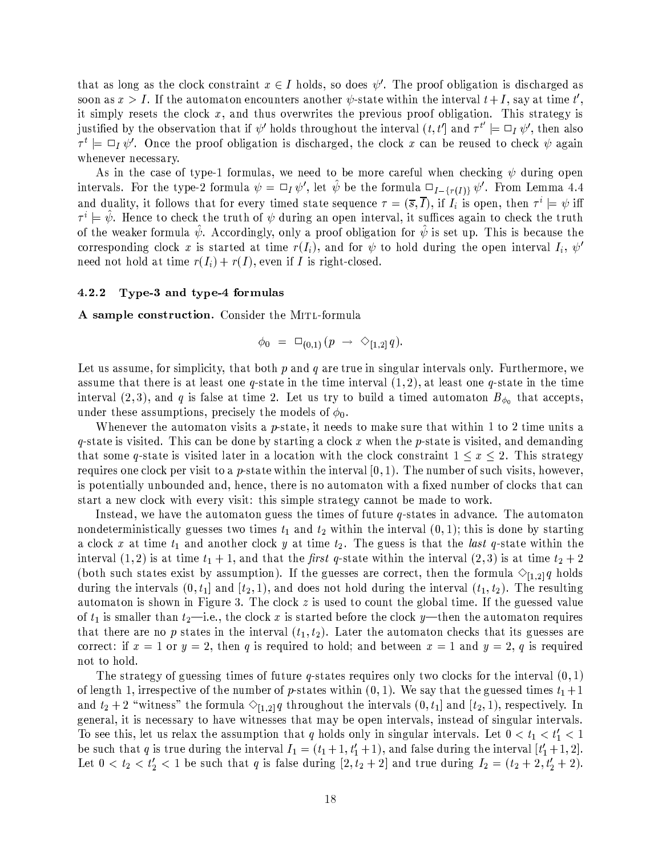that as long as the clock constraint  $x \in I$  holds, so does  $\psi'$ . The proof obligation is discharged as soon as  $x > I$ . If the automaton encounters another  $\psi$ -state within the interval  $t + I$ , say at time t', it simply resets the clock  $x$ , and thus overwrites the previous proof obligation. This strategy is justified by the observation that if  $\psi'$  holds throughout the interval  $(t, t']$  and  $\tau^{t'} \models \Box_I \psi'$ , then also  $\tau^t$  =  $\Box_I \psi'$ . Once the proof obligation is discharged, the clock x can be reused to check  $\psi$  again whenever necessary.

As in the case of type-1 formulas, we need to be more careful when checking  $\psi$  during open intervals. For the type-2 formula  $\psi = \Box_I \psi'$ , let  $\hat{\psi}$  be the formula  $\Box_{I-\{r(I)\}} \psi'$ . From Lemma 4.4 and duality, it follows that for every timed state sequence  $\tau = (\bar{s}, \bar{I})$ , if  $I_i$  is open, then  $\tau^i \models \psi$  iff  $\tau^i = \psi$ . Hence to check the truth of  $\psi$  during an open interval, it suffices again to check the truth of the weaker formula  $\hat{\psi}$ . Accordingly, only a proof obligation for  $\hat{\psi}$  is set up. This is because the corresponding clock x is started at time  $r(I_i)$ , and for  $\psi$  to hold during the open interval  $I_i$ ,  $\psi'$ need not hold at time  $r(I_i) + r(I)$ , even if I is right-closed.

#### 4.2.2 Type-3 and type-4 formulas

A sample construction. Consider the MITL-formula

$$
\phi_0 = \Box_{(0,1)}(p \rightarrow \Diamond_{[1,2]} q).
$$

Let us assume, for simplicity, that both  $p$  and  $q$  are true in singular intervals only. Furthermore, we assume that there is at least one q-state in the time interval  $(1,2)$ , at least one q-state in the time interval (2,3), and q is false at time 2. Let us try to build a timed automaton  $B_{\phi_0}$  that accepts, under these assumptions, precisely the models of  $\phi_0$ .

Whenever the automaton visits a p-state, it needs to make sure that within 1 to 2 time units a q-state is visited. This can be done by starting a clock x when the p-state is visited, and demanding that some q-state is visited later in a location with the clock constraint  $1 \leq x \leq 2$ . This strategy requires one clock per visit to a p-state within the interval  $[0, 1)$ . The number of such visits, however, is potentially unbounded and, hence, there is no automaton with a fixed number of clocks that can start a new clock with every visit: this simple strategy cannot be made to work.

Instead, we have the automaton guess the times of future  $q$ -states in advance. The automaton nondeterministically guesses two times  $t_1$  and  $t_2$  within the interval  $(0, 1)$ ; this is done by starting a clock x at time  $t_1$  and another clock y at time  $t_2$ . The guess is that the *last* q-state within the interval  $(1,2)$  is at time  $t_1+1$ , and that the *first* q-state within the interval  $(2,3)$  is at time  $t_2+2$ (both such states exist by assumption). If the guesses are correct, then the formula  $\Diamond_{[1,2]}q$  holds during the intervals  $(0, t_1]$  and  $[t_2, 1)$ , and does not hold during the interval  $(t_1, t_2)$ . The resulting automaton is shown in Figure 3. The clock  $z$  is used to count the global time. If the guessed value of  $t_1$  is smaller than  $t_2$ —i.e., the clock x is started before the clock y—then the automaton requires that there are no p states in the interval  $(t_1, t_2)$ . Later the automaton checks that its guesses are correct: if  $x = 1$  or  $y = 2$ , then q is required to hold; and between  $x = 1$  and  $y = 2$ , q is required not to hold.

The strategy of guessing times of future q-states requires only two clocks for the interval  $(0,1)$ of length 1, irrespective of the number of p-states within  $(0,1)$ . We say that the guessed times  $t_1 + 1$ and  $t_2 + 2$  "witness" the formula  $\Diamond_{[1,2]} q$  throughout the intervals  $(0, t_1]$  and  $[t_2, 1)$ , respectively. In general, it is necessary to have witnesses that may be open intervals, instead of singular intervals. To see this, let us relax the assumption that q holds only in singular intervals. Let  $0 < t_1 < t'_1 < 1$ be such that q is true during the interval  $I_1 = (t_1 + 1, t_1' + 1)$ , and false during the interval  $[t_1' + 1, 2]$ . Let  $0 < t_2 < t'_2 < 1$  be such that q is false during  $[2, t_2 + 2]$  and true during  $I_2 = (t_2 + 2, t'_2 + 2)$ .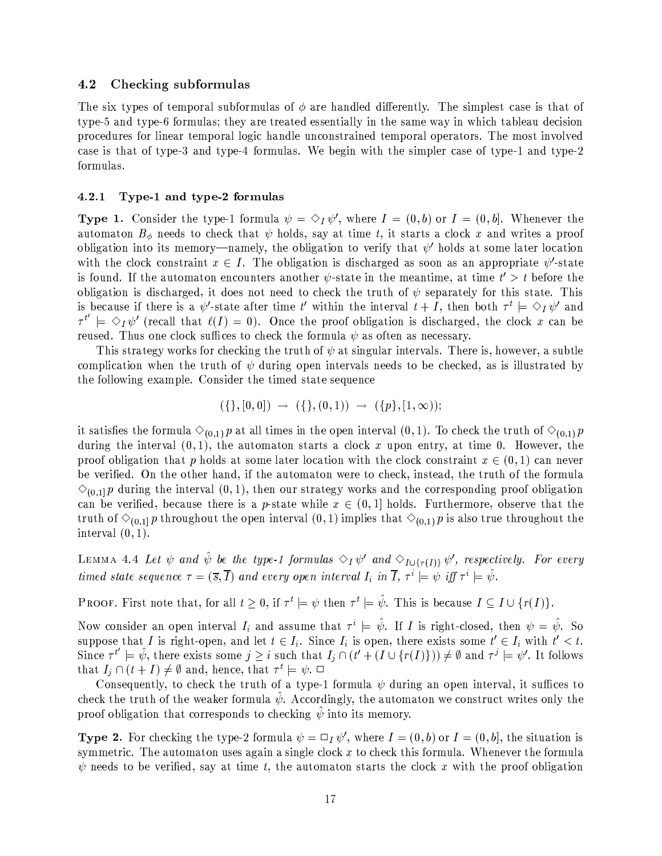#### 4.2 Checking subformulas

The six types of temporal subformulas of  $\phi$  are handled differently. The simplest case is that of type-5 and type-6 formulas; they are treated essentially in the same way in which tableau decision procedures for linear temporal logic handle unconstrained temporal operators. The most involved case is that of type-3 and type-4 formulas. We begin with the simpler case of type-1 and type-2 formulas.

#### $4.2.1$ Type-1 and type-2 formulas

**Type 1.** Consider the type-1 formula  $\psi = \Diamond_I \psi'$ , where  $I = (0, b)$  or  $I = (0, b]$ . Whenever the automaton  $B_{\phi}$  needs to check that  $\psi$  holds, say at time t, it starts a clock x and writes a proof obligation into its memory—namely, the obligation to verify that  $\psi'$  holds at some later location with the clock constraint  $x \in I$ . The obligation is discharged as soon as an appropriate  $\psi'$ -state is found. If the automaton encounters another  $\psi$ -state in the meantime, at time  $t' > t$  before the obligation is discharged, it does not need to check the truth of  $\psi$  separately for this state. This is because if there is a  $\psi'$ -state after time t' within the interval  $t + I$ , then both  $\tau^t \models \Diamond_I \psi'$  and  $\tau^{t'} \models \Diamond_I \psi'$  (recall that  $\ell(I) = 0$ ). Once the proof obligation is discharged, the clock x can be reused. Thus one clock suffices to check the formula  $\psi$  as often as necessary.

This strategy works for checking the truth of  $\psi$  at singular intervals. There is, however, a subtle complication when the truth of  $\psi$  during open intervals needs to be checked, as is illustrated by the following example. Consider the timed state sequence

$$
(\{\},[0,0]) \rightarrow (\{\},(0,1)) \rightarrow (\{p\},[1,\infty));
$$

it satisfies the formula  $\Diamond_{(0,1)} p$  at all times in the open interval  $(0,1)$ . To check the truth of  $\Diamond_{(0,1)} p$ during the interval  $(0,1)$ , the automaton starts a clock x upon entry, at time 0. However, the proof obligation that p holds at some later location with the clock constraint  $x \in (0,1)$  can never be verified. On the other hand, if the automaton were to check, instead, the truth of the formula  $\Diamond$ <sub>(0.1)</sub> p during the interval (0,1), then our strategy works and the corresponding proof obligation can be verified, because there is a p-state while  $x \in (0,1]$  holds. Furthermore, observe that the truth of  $\Diamond_{(0,1]} p$  throughout the open interval  $(0,1)$  implies that  $\Diamond_{(0,1)} p$  is also true throughout the interval  $(0,1)$ .

LEMMA 4.4 Let  $\psi$  and  $\hat{\psi}$  be the type-1 formulas  $\Diamond_I \psi'$  and  $\Diamond_{I \cup \{r(I)\}} \psi'$ , respectively. For every timed state sequence  $\tau = (\bar{s}, \bar{I})$  and every open interval  $I_i$  in  $\bar{I}$ ,  $\tau^i \models \psi$  iff  $\tau^i \models \hat{\psi}$ .

**PROOF.** First note that, for all  $t \geq 0$ , if  $\tau^t \models \psi$  then  $\tau^t \models \hat{\psi}$ . This is because  $I \subseteq I \cup \{r(I)\}.$ 

Now consider an open interval  $I_i$  and assume that  $\tau^i \models \hat{\psi}$ . If I is right-closed, then  $\psi = \hat{\psi}$ . So suppose that I is right-open, and let  $t \in I_i$ . Since  $I_i$  is open, there exists some  $t' \in I_i$  with  $t' < t$ . Since  $\tau^{t'} \models \hat{\psi}$ , there exists some  $j \geq i$  such that  $I_j \cap (t' + (I \cup \{r(I)\})) \neq \emptyset$  and  $\tau^j \models \psi'$ . It follows that  $I_j \cap (t+I) \neq \emptyset$  and, hence, that  $\tau^t \models \psi$ .  $\Box$ 

Consequently, to check the truth of a type-1 formula  $\psi$  during an open interval, it suffices to check the truth of the weaker formula  $\psi$ . Accordingly, the automaton we construct writes only the proof obligation that corresponds to checking  $\psi$  into its memory.

**Type 2.** For checking the type-2 formula  $\psi = \Box_I \psi'$ , where  $I = (0, b)$  or  $I = (0, b]$ , the situation is symmetric. The automaton uses again a single clock  $x$  to check this formula. Whenever the formula  $\psi$  needs to be verified, say at time t, the automaton starts the clock x with the proof obligation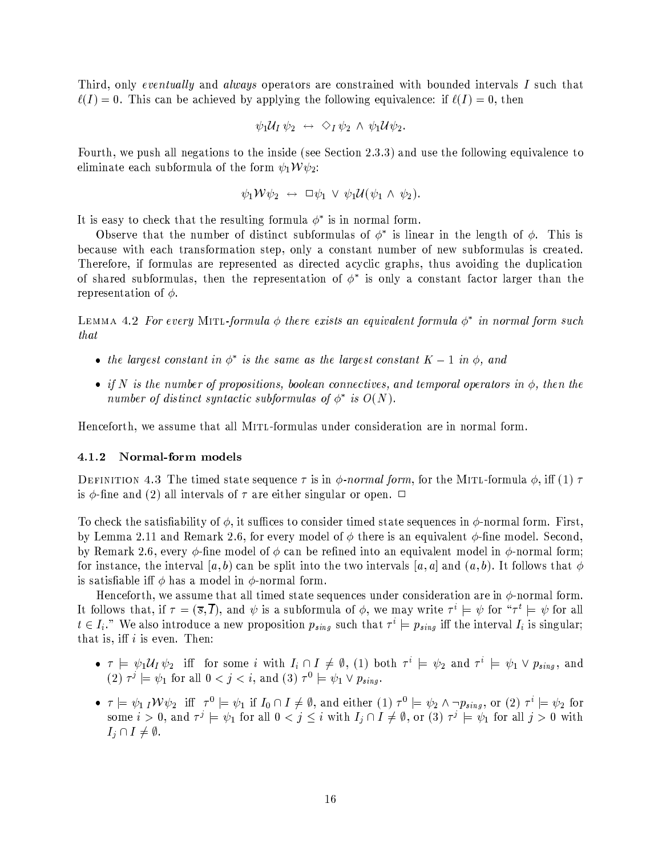Third, only eventually and always operators are constrained with bounded intervals I such that  $\ell(I) = 0$ . This can be achieved by applying the following equivalence: if  $\ell(I) = 0$ , then

$$
\psi_1 \mathcal{U}_I \psi_2 \;\; \leftrightarrow \;\; \diamondsuit_I \psi_2 \;\land\; \psi_1 \mathcal{U} \psi_2.
$$

Fourth, we push all negations to the inside (see Section 2.3.3) and use the following equivalence to eliminate each subformula of the form  $\psi_1 \mathcal{W} \psi_2$ :

$$
\psi_1 \mathcal{W} \psi_2 \;\leftrightarrow\; \square \psi_1 \,\vee\; \psi_1 \mathcal{U}(\psi_1 \,\wedge\; \psi_2).
$$

It is easy to check that the resulting formula  $\phi^*$  is in normal form.

Observe that the number of distinct subformulas of  $\phi^*$  is linear in the length of  $\phi$ . This is because with each transformation step, only a constant number of new subformulas is created. Therefore, if formulas are represented as directed acyclic graphs, thus avoiding the duplication of shared subformulas, then the representation of  $\phi^*$  is only a constant factor larger than the representation of  $\phi$ .

LEMMA 4.2 For every MITL-formula  $\phi$  there exists an equivalent formula  $\phi^*$  in normal form such that

- the largest constant in  $\phi^*$  is the same as the largest constant  $K-1$  in  $\phi$ , and
- if N is the number of propositions, boolean connectives, and temporal operators in  $\phi$ , then the number of distinct syntactic subformulas of  $\phi^*$  is  $O(N)$ .

Henceforth, we assume that all MITL-formulas under consideration are in normal form.

#### 4.1.2 Normal-form models

DEFINITION 4.3 The timed state sequence  $\tau$  is in  $\phi$ -normal form, for the MITL-formula  $\phi$ , iff (1)  $\tau$ is  $\phi$ -fine and (2) all intervals of  $\tau$  are either singular or open.  $\Box$ 

To check the satisfiability of  $\phi$ , it suffices to consider timed state sequences in  $\phi$ -normal form. First, by Lemma 2.11 and Remark 2.6, for every model of  $\phi$  there is an equivalent  $\phi$ -fine model. Second, by Remark 2.6, every  $\phi$ -fine model of  $\phi$  can be refined into an equivalent model in  $\phi$ -normal form; for instance, the interval  $(a, b)$  can be split into the two intervals  $[a, a]$  and  $(a, b)$ . It follows that  $\phi$ is satisfiable iff  $\phi$  has a model in  $\phi$ -normal form.

Henceforth, we assume that all timed state sequences under consideration are in  $\phi$ -normal form. It follows that, if  $\tau = (\bar{s}, \bar{I})$ , and  $\psi$  is a subformula of  $\phi$ , we may write  $\tau^i \models \psi$  for " $\tau^i \models \psi$  for all  $t \in I_i$ ." We also introduce a new proposition  $p_{sing}$  such that  $\tau^i \models p_{sing}$  iff the interval  $I_i$  is singular; that is, iff  $i$  is even. Then:

- $\tau = \psi_1 \mathcal{U}_I \psi_2$  iff for some i with  $I_i \cap I \neq \emptyset$ , (1) both  $\tau^i = \psi_2$  and  $\tau^i = \psi_1 \vee p_{sing}$ , and (2)  $\tau^j \models \psi_1$  for all  $0 < j < i$ , and (3)  $\tau^0 \models \psi_1 \vee p_{sing}$ .
- $\tau \models \psi_1 \, I \mathcal{W} \psi_2$  iff  $\tau^0 \models \psi_1$  if  $I_0 \cap I \neq \emptyset$ , and either (1)  $\tau^0 \models \psi_2 \land \neg p_{sing}$ , or (2)  $\tau^i \models \psi_2$  for some  $i > 0$ , and  $\tau^j = \psi_1$  for all  $0 < j \leq i$  with  $I_i \cap I \neq \emptyset$ , or (3)  $\tau^j = \psi_1$  for all  $j > 0$  with  $I_i \cap I \neq \emptyset$ .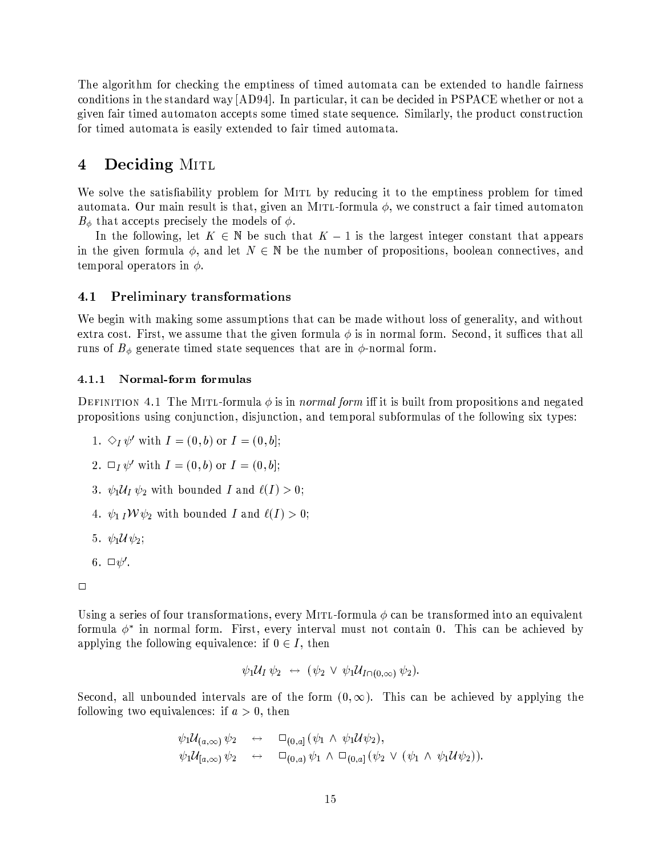The algorithm for checking the emptiness of timed automata can be extended to handle fairness conditions in the standard way [AD94]. In particular, it can be decided in PSPACE whether or not a given fair timed automaton accepts some timed state sequence. Similarly, the product construction for timed automata is easily extended to fair timed automata.

## Deciding MITL 4

We solve the satisfiability problem for MITL by reducing it to the emptiness problem for timed automata. Our main result is that, given an MITL-formula  $\phi$ , we construct a fair timed automaton  $B_{\phi}$  that accepts precisely the models of  $\phi$ .

In the following, let  $K \in \mathbb{N}$  be such that  $K-1$  is the largest integer constant that appears in the given formula  $\phi$ , and let  $N \in \mathbb{N}$  be the number of propositions, boolean connectives, and temporal operators in  $\phi$ .

#### **Preliminary transformations**  $4.1$

We begin with making some assumptions that can be made without loss of generality, and without extra cost. First, we assume that the given formula  $\phi$  is in normal form. Second, it suffices that all runs of  $B_{\phi}$  generate timed state sequences that are in  $\phi$ -normal form.

#### Normal-form formulas  $4.1.1$

DEFINITION 4.1 The MITL-formula  $\phi$  is in *normal form* iff it is built from propositions and negated propositions using conjunction, disjunction, and temporal subformulas of the following six types:

- 1.  $\Diamond_I \psi'$  with  $I = (0, b)$  or  $I = (0, b]$ ;
- 2.  $\Box_I \psi'$  with  $I = (0, b)$  or  $I = (0, b]$ ;
- 3.  $\psi_1 \mathcal{U}_I \psi_2$  with bounded I and  $\ell(I) > 0$ ;
- 4.  $\psi_1 I \mathcal{W} \psi_2$  with bounded I and  $\ell(I) > 0$ ;
- 5.  $\psi_1 \mathcal{U} \psi_2$ ;
- 6.  $\Box \psi'$ .

Using a series of four transformations, every MITL-formula  $\phi$  can be transformed into an equivalent formula  $\phi^*$  in normal form. First, every interval must not contain 0. This can be achieved by applying the following equivalence: if  $0 \in I$ , then

$$
\psi_1\mathcal{U}_I\,\psi_2\,\,\leftrightarrow\,\,(\psi_2\,\vee\,\psi_1\mathcal{U}_{I\cap(0,\infty)}\,\psi_2).
$$

Second, all unbounded intervals are of the form  $(0, \infty)$ . This can be achieved by applying the following two equivalences: if  $a > 0$ , then

$$
\psi_1 \mathcal{U}_{(a,\infty)} \psi_2 \quad \leftrightarrow \quad \square_{(0,a]} (\psi_1 \wedge \psi_1 \mathcal{U} \psi_2), \n\psi_1 \mathcal{U}_{[a,\infty)} \psi_2 \quad \leftrightarrow \quad \square_{(0,a)} \psi_1 \wedge \square_{(0,a]} (\psi_2 \vee (\psi_1 \wedge \psi_1 \mathcal{U} \psi_2))
$$

 $\Box$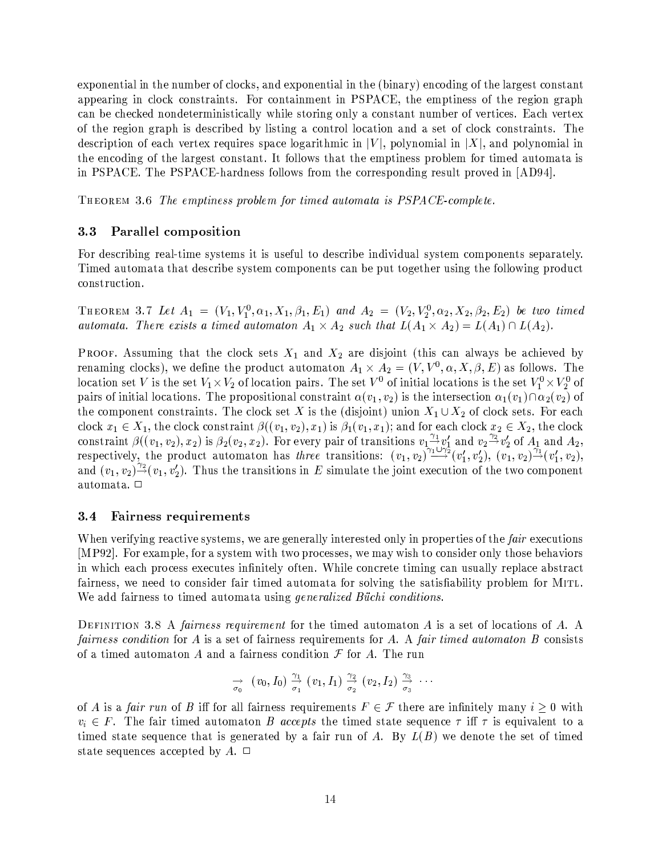exponential in the number of clocks, and exponential in the (binary) encoding of the largest constant appearing in clock constraints. For containment in PSPACE, the emptiness of the region graph can be checked nondeterministically while storing only a constant number of vertices. Each vertex of the region graph is described by listing a control location and a set of clock constraints. The description of each vertex requires space logarithmic in  $|V|$ , polynomial in  $|X|$ , and polynomial in the encoding of the largest constant. It follows that the emptiness problem for timed automata is in PSPACE. The PSPACE-hardness follows from the corresponding result proved in [AD94].

THEOREM 3.6 The emptiness problem for timed automata is PSPACE-complete.

#### Parallel composition  $3.3$

For describing real-time systems it is useful to describe individual system components separately. Timed automata that describe system components can be put together using the following product construction.

THEOREM 3.7 Let  $A_1 = (V_1, V_1^0, \alpha_1, X_1, \beta_1, E_1)$  and  $A_2 = (V_2, V_2^0, \alpha_2, X_2, \beta_2, E_2)$  be two timed automata. There exists a timed automator  $A_1 \times A_2$  such that  $L(A_1 \times A_2) = L(A_1) \cap L(A_2)$ .

**PROOF.** Assuming that the clock sets  $X_1$  and  $X_2$  are disjoint (this can always be achieved by renaming clocks), we define the product automaton  $A_1 \times A_2 = (V, V^0, \alpha, X, \beta, E)$  as follows. The location set V is the set  $V_1 \times V_2$  of location pairs. The set  $V^0$  of initial locations is the set  $V_1^0 \times V_2^0$  of pairs of initial locations. The propositional constraint  $\alpha(v_1, v_2)$  is the intersection  $\alpha_1(v_1) \cap \alpha_2(v_2)$  of the component constraints. The clock set X is the (disjoint) union  $X_1 \cup X_2$  of clock sets. For each clock  $x_1 \in X_1$ , the clock constraint  $\beta((v_1, v_2), x_1)$  is  $\beta_1(v_1, x_1)$ ; and for each clock  $x_2 \in X_2$ , the clock constraint  $\beta((v_1, v_2), x_2)$  is  $\beta_2(v_2, x_2)$ . For every pair of transitions  $v_1 \frac{\gamma_1}{\gamma_1} v_1'$  and  $v_2 \frac{\gamma_2}{\gamma_2} v_2'$  of  $A_1$  and  $A_2$ , respectively, the product automaton has *three* transitions:  $(v_1, v_2) \frac{\gamma_$ and  $(v_1, v_2)^{\frac{\gamma_2}{\gamma}}(v_1, v_2')$ . Thus the transitions in E simulate the joint execution of the two component automata. □

#### Fairness requirements  $3.4$

When verifying reactive systems, we are generally interested only in properties of the *fair* executions [MP92]. For example, for a system with two processes, we may wish to consider only those behaviors in which each process executes infinitely often. While concrete timing can usually replace abstract fairness, we need to consider fair timed automata for solving the satisfiability problem for MITL. We add fairness to timed automata using *generalized Büchi conditions*.

DEFINITION 3.8 A fairness requirement for the timed automaton  $A$  is a set of locations of  $A$ . A fairness condition for A is a set of fairness requirements for A. A fair timed automaton B consists of a timed automaton A and a fairness condition  $\mathcal F$  for A. The run

$$
\rightarrow_{\sigma_0} (v_0,I_0) \frac{\gamma_1}{\sigma_1} (v_1,I_1) \frac{\gamma_2}{\sigma_2} (v_2,I_2) \frac{\gamma_3}{\sigma_3} \cdots
$$

of A is a fair run of B iff for all fairness requirements  $F \in \mathcal{F}$  there are infinitely many  $i \geq 0$  with  $v_i \in F$ . The fair timed automaton B accepts the timed state sequence  $\tau$  iff  $\tau$  is equivalent to a timed state sequence that is generated by a fair run of A. By  $L(B)$  we denote the set of timed state sequences accepted by A.  $\Box$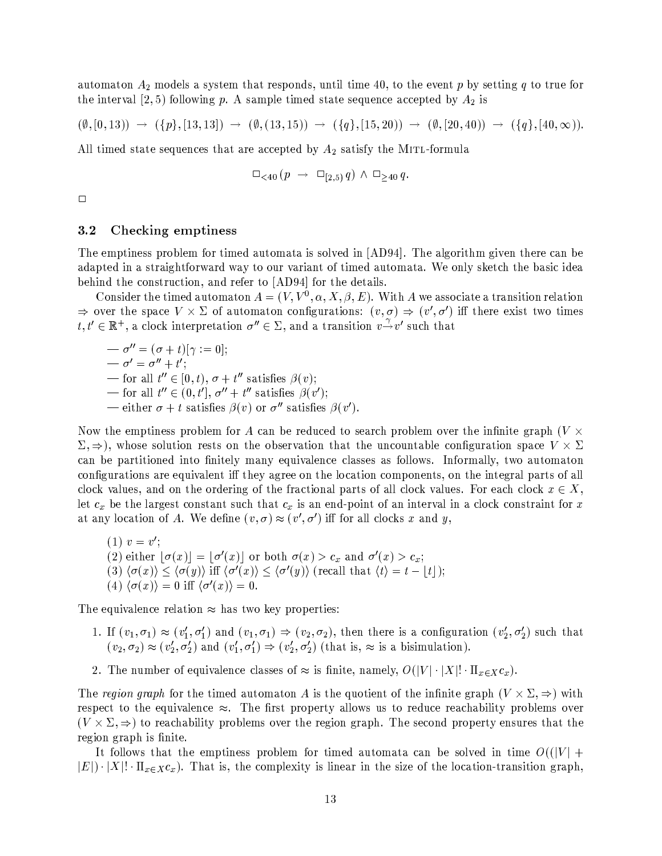automaton  $A_2$  models a system that responds, until time 40, to the event p by setting q to true for the interval  $(2,5)$  following p. A sample timed state sequence accepted by  $A_2$  is

$$
(\emptyset, [0, 13)) \rightarrow (\{p\}, [13, 13]) \rightarrow (\emptyset, (13, 15)) \rightarrow (\{q\}, [15, 20)) \rightarrow (\emptyset, [20, 40)) \rightarrow (\{q\}, [40, \infty)).
$$

All timed state sequences that are accepted by  $A_2$  satisfy the MITL-formula

$$
\Box_{\lt40} \left(p \;\to\; \Box_{[2,5)} q\right) \land \Box_{\geq 40} q.
$$

 $\Box$ 

#### $3.2$ Checking emptiness

The emptiness problem for timed automata is solved in [AD94]. The algorithm given there can be adapted in a straightforward way to our variant of timed automata. We only sketch the basic idea behind the construction, and refer to [AD94] for the details.

Consider the timed automaton  $A = (V, V^0, \alpha, X, \beta, E)$ . With A we associate a transition relation  $\Rightarrow$  over the space  $V \times \Sigma$  of automaton configurations:  $(v, \sigma) \Rightarrow (v', \sigma')$  iff there exist two times  $t, t' \in \mathbb{R}^+$ , a clock interpretation  $\sigma'' \in \Sigma$ , and a transition  $v \to v'$  such that

$$
\begin{aligned}\n& -\sigma'' = (\sigma + t)[\gamma := 0]; \\
& -\sigma' = \sigma'' + t'; \\
& -\text{ for all } t'' \in [0, t), \sigma + t'' \text{ satisfies } \beta(v); \\
& -\text{ for all } t'' \in (0, t'], \sigma'' + t'' \text{ satisfies } \beta(v'); \\
& -\text{ either } \sigma + t \text{ satisfies } \beta(v) \text{ or } \sigma'' \text{ satisfies } \beta(v').\n\end{aligned}
$$

Now the emptiness problem for A can be reduced to search problem over the infinite graph ( $V \times$  $\Sigma, \Rightarrow$ ), whose solution rests on the observation that the uncountable configuration space  $V \times \Sigma$ can be partitioned into finitely many equivalence classes as follows. Informally, two automator configurations are equivalent iff they agree on the location components, on the integral parts of all clock values, and on the ordering of the fractional parts of all clock values. For each clock  $x \in X$ , let  $c_x$  be the largest constant such that  $c_x$  is an end-point of an interval in a clock constraint for x at any location of A. We define  $(v, \sigma) \approx (v', \sigma')$  iff for all clocks x and y,

(1) 
$$
v = v'
$$
;  
\n(2) either  $\lfloor \sigma(x) \rfloor = \lfloor \sigma'(x) \rfloor$  or both  $\sigma(x) > c_x$  and  $\sigma'(x) > c_x$ ;  
\n(3)  $\langle \sigma(x) \rangle \leq \langle \sigma(y) \rangle$  iff  $\langle \sigma'(x) \rangle \leq \langle \sigma'(y) \rangle$  (recall that  $\langle t \rangle = t - \lfloor t \rfloor$ );  
\n(4)  $\langle \sigma(x) \rangle = 0$  iff  $\langle \sigma'(x) \rangle = 0$ .

The equivalence relation  $\approx$  has two key properties:

- 1. If  $(v_1,\sigma_1) \approx (v'_1,\sigma'_1)$  and  $(v_1,\sigma_1) \Rightarrow (v_2,\sigma_2)$ , then there is a configuration  $(v'_2,\sigma'_2)$  such that  $(v_2, \sigma_2) \approx (v'_2, \sigma'_2)$  and  $(v'_1, \sigma'_1) \Rightarrow (v'_2, \sigma'_2)$  (that is,  $\approx$  is a bisimulation).
- 2. The number of equivalence classes of  $\approx$  is finite, namely,  $O(|V| \cdot |X|! \cdot \Pi_{x \in X} c_x)$ .

The region graph for the timed automaton A is the quotient of the infinite graph  $(V \times \Sigma, \Rightarrow)$  with respect to the equivalence  $\approx$ . The first property allows us to reduce reachability problems over  $(V \times \Sigma, \Rightarrow)$  to reachability problems over the region graph. The second property ensures that the region graph is finite.

It follows that the emptiness problem for timed automata can be solved in time  $O(|V| +$  $|E| \cdot |X|! \cdot \Pi_{x \in X} c_x$ . That is, the complexity is linear in the size of the location-transition graph,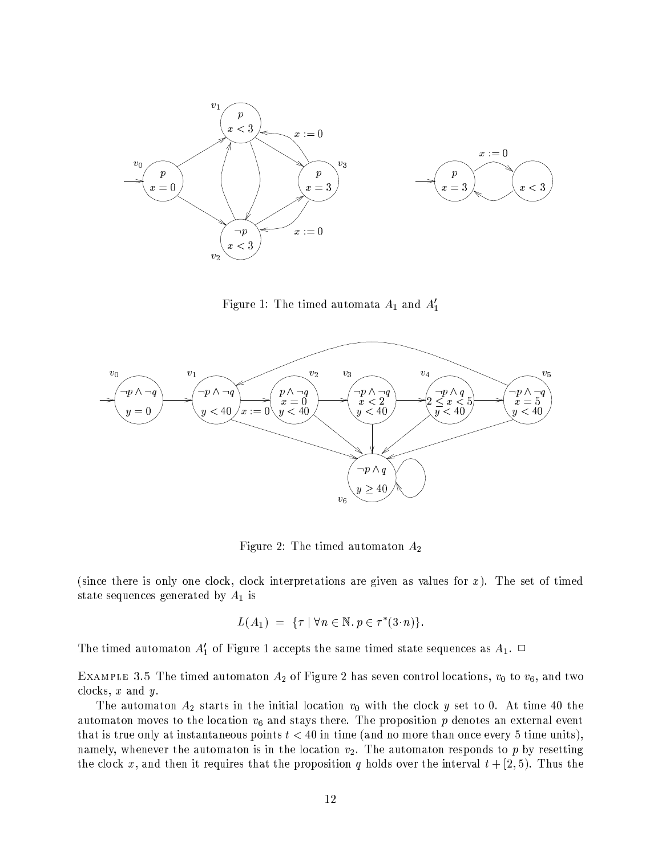

Figure 1: The timed automata  $A_1$  and  $A'_1$ 



Figure 2: The timed automaton  $A_2$ 

(since there is only one clock, clock interpretations are given as values for  $x$ ). The set of timed state sequences generated by  $A_1$  is

$$
L(A_1) = \{\tau \mid \forall n \in \mathbb{N}, p \in \tau^*(3 \cdot n)\}.
$$

The timed automaton  $A'_1$  of Figure 1 accepts the same timed state sequences as  $A_1$ .  $\Box$ 

EXAMPLE 3.5 The timed automaton  $A_2$  of Figure 2 has seven control locations,  $v_0$  to  $v_6$ , and two clocks,  $x$  and  $y$ .

The automaton  $A_2$  starts in the initial location  $v_0$  with the clock y set to 0. At time 40 the automaton moves to the location  $v_6$  and stays there. The proposition p denotes an external event that is true only at instantaneous points  $t < 40$  in time (and no more than once every 5 time units), namely, whenever the automaton is in the location  $v_2$ . The automaton responds to p by resetting the clock x, and then it requires that the proposition q holds over the interval  $t + [2, 5)$ . Thus the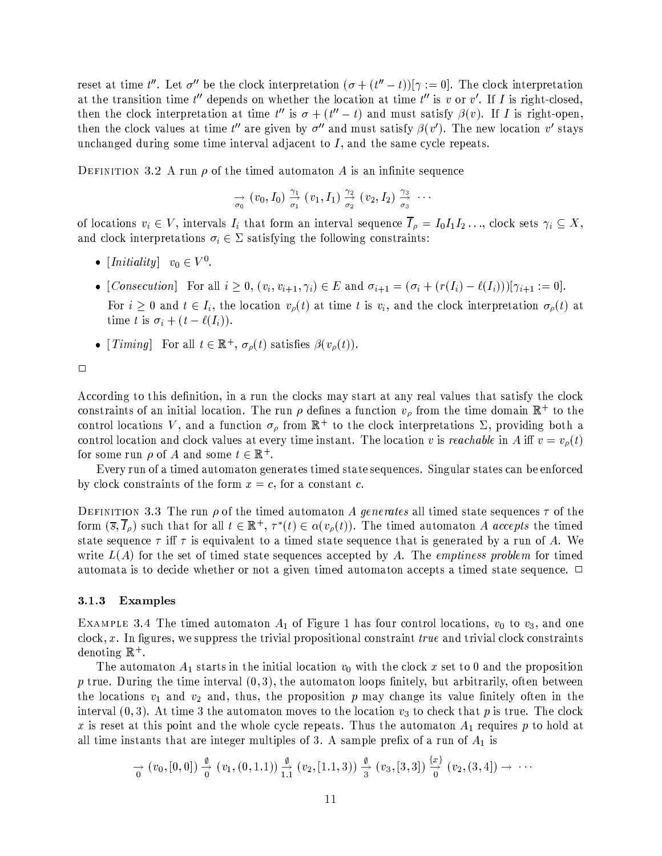reset at time t''. Let  $\sigma''$  be the clock interpretation  $(\sigma + (t'' - t))|\gamma := 0$ . The clock interpretation at the transition time  $t''$  depends on whether the location at time  $t''$  is v or v'. If I is right-closed, then the clock interpretation at time  $t''$  is  $\sigma + (t'' - t)$  and must satisfy  $\beta(v)$ . If I is right-open, then the clock values at time t'' are given by  $\sigma''$  and must satisfy  $\beta(v')$ . The new location v' stays unchanged during some time interval adjacent to  $I$ , and the same cycle repeats.

DEFINITION 3.2 A run  $\rho$  of the timed automaton A is an infinite sequence

$$
\underset{\sigma_0}{\rightarrow} (v_0, I_0) \overset{\gamma_1}{\rightarrow} (v_1, I_1) \overset{\gamma_2}{\rightarrow} (v_2, I_2) \overset{\gamma_3}{\rightarrow} \cdots
$$

of locations  $v_i \in V$ , intervals  $I_i$  that form an interval sequence  $\overline{I}_{\rho} = I_0 I_1 I_2 \ldots$ , clock sets  $\gamma_i \subseteq X$ , and clock interpretations  $\sigma_i \in \Sigma$  satisfying the following constraints:

- [*Initiality*]  $v_0 \in V^0$ .
- [Consecution] For all  $i \geq 0$ ,  $(v_i, v_{i+1}, \gamma_i) \in E$  and  $\sigma_{i+1} = (\sigma_i + (r(I_i) \ell(I_i)))[\gamma_{i+1} := 0]$ . For  $i \geq 0$  and  $t \in I_i$ , the location  $v_{\rho}(t)$  at time t is  $v_i$ , and the clock interpretation  $\sigma_{\rho}(t)$  at time t is  $\sigma_i + (t - \ell(I_i)).$
- [Timing] For all  $t \in \mathbb{R}^+, \sigma_{\rho}(t)$  satisfies  $\beta(v_{\rho}(t))$ .

 $\Box$ 

According to this definition, in a run the clocks may start at any real values that satisfy the clock constraints of an initial location. The run  $\rho$  defines a function  $v_{\rho}$  from the time domain  $\mathbb{R}^+$  to the control locations V, and a function  $\sigma_{\rho}$  from  $\mathbb{R}^+$  to the clock interpretations  $\Sigma$ , providing both a control location and clock values at every time instant. The location v is reachable in A iff  $v = v<sub>\rho</sub>(t)$ for some run  $\rho$  of A and some  $t \in \mathbb{R}^+$ .

Every run of a timed automaton generates timed state sequences. Singular states can be enforced by clock constraints of the form  $x = c$ , for a constant c.

DEFINITION 3.3 The run  $\rho$  of the timed automaton A generates all timed state sequences  $\tau$  of the form  $(\overline{s}, I_{\rho})$  such that for all  $t \in \mathbb{R}^+, \tau^*(t) \in \alpha(v_{\rho}(t))$ . The timed automaton A accepts the timed state sequence  $\tau$  iff  $\tau$  is equivalent to a timed state sequence that is generated by a run of A. We write  $L(A)$  for the set of timed state sequences accepted by A. The emptiness problem for timed automata is to decide whether or not a given timed automaton accepts a timed state sequence.  $\Box$ 

#### $3.1.3$ Examples

EXAMPLE 3.4 The timed automaton  $A_1$  of Figure 1 has four control locations,  $v_0$  to  $v_3$ , and one  $clock, x.$  In figures, we suppress the trivial propositional constraint *true* and trivial clock constraints denoting  $\mathbb{R}^+$ .

The automaton  $A_1$  starts in the initial location  $v_0$  with the clock x set to 0 and the proposition p true. During the time interval  $(0,3)$ , the automaton loops finitely, but arbitrarily, often between the locations  $v_1$  and  $v_2$  and, thus, the proposition p may change its value finitely often in the interval  $(0,3)$ . At time 3 the automaton moves to the location  $v_3$  to check that p is true. The clock x is reset at this point and the whole cycle repeats. Thus the automaton  $A_1$  requires p to hold at all time instants that are integer multiples of 3. A sample prefix of a run of  $A_1$  is

$$
\rightarrow \ (v_0, [0,0]) \stackrel{\emptyset}{\rightarrow} (v_1, (0,1.1)) \stackrel{\emptyset}{\rightarrow} (v_2, [1.1,3]) \stackrel{\emptyset}{\rightarrow} (v_3, [3,3]) \stackrel{\{x\}}{\rightarrow} (v_2, (3,4]) \rightarrow \cdots
$$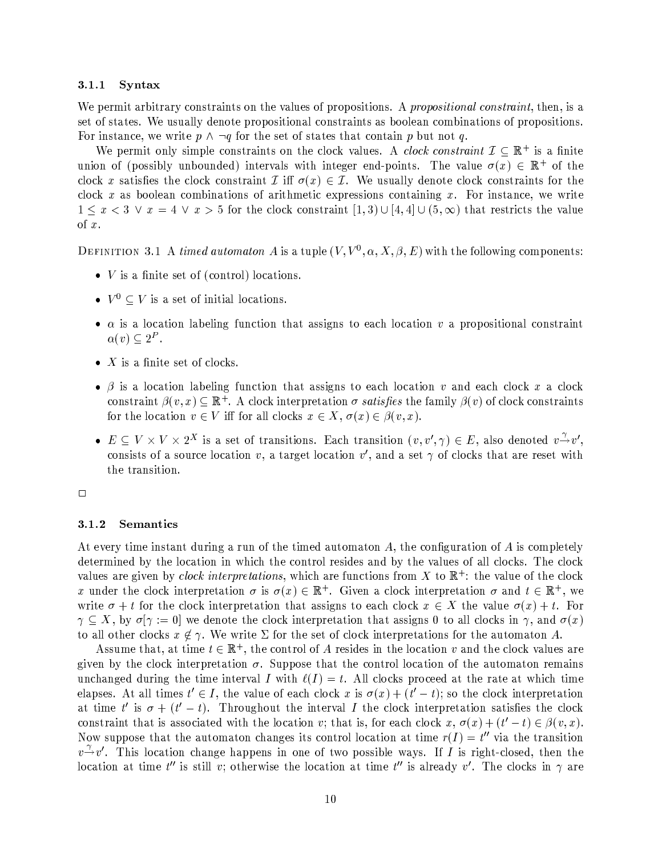#### $3.1.1$ Syntax

We permit arbitrary constraints on the values of propositions. A propositional constraint, then, is a set of states. We usually denote propositional constraints as boolean combinations of propositions. For instance, we write  $p \wedge \neg q$  for the set of states that contain p but not q.

We permit only simple constraints on the clock values. A *clock constraint*  $\mathcal{I} \subseteq \mathbb{R}^+$  is a finite union of (possibly unbounded) intervals with integer end-points. The value  $\sigma(x) \in \mathbb{R}^+$  of the clock x satisfies the clock constraint  $\mathcal I$  iff  $\sigma(x) \in \mathcal I$ . We usually denote clock constraints for the clock x as boolean combinations of arithmetic expressions containing x. For instance, we write  $1 \leq x < 3 \lor x = 4 \lor x > 5$  for the clock constraint  $[1,3] \cup [4,4] \cup (5,\infty)$  that restricts the value of  $x$ .

DEFINITION 3.1 A timed automator A is a tuple  $(V, V^0, \alpha, X, \beta, E)$  with the following components:

- $\bullet$  V is a finite set of (control) locations.
- $V^0 \subset V$  is a set of initial locations.
- $\alpha$  is a location labeling function that assigns to each location v a propositional constraint  $\alpha(v) \subseteq 2^P$ .
- $\bullet$  X is a finite set of clocks.
- $\beta$  is a location labeling function that assigns to each location v and each clock x a clock constraint  $\beta(v, x) \subseteq \mathbb{R}^+$ . A clock interpretation  $\sigma$  satisfies the family  $\beta(v)$  of clock constraints for the location  $v \in V$  iff for all clocks  $x \in X$ ,  $\sigma(x) \in \beta(v, x)$ .
- $E \subseteq V \times V \times 2^X$  is a set of transitions. Each transition  $(v, v', \gamma) \in E$ , also denoted  $v \to v'$ , consists of a source location v, a target location v', and a set  $\gamma$  of clocks that are reset with the transition.

 $\Box$ 

#### 3.1.2 Semantics

At every time instant during a run of the timed automaton  $A$ , the configuration of  $A$  is completely determined by the location in which the control resides and by the values of all clocks. The clock values are given by *clock interpretations*, which are functions from X to  $\mathbb{R}^+$ : the value of the clock x under the clock interpretation  $\sigma$  is  $\sigma(x) \in \mathbb{R}^+$ . Given a clock interpretation  $\sigma$  and  $t \in \mathbb{R}^+$ , we write  $\sigma + t$  for the clock interpretation that assigns to each clock  $x \in X$  the value  $\sigma(x) + t$ . For  $\gamma \subseteq X$ , by  $\sigma[\gamma := 0]$  we denote the clock interpretation that assigns 0 to all clocks in  $\gamma$ , and  $\sigma(x)$ to all other clocks  $x \notin \gamma$ . We write  $\Sigma$  for the set of clock interpretations for the automaton A.

Assume that, at time  $t \in \mathbb{R}^+$ , the control of A resides in the location v and the clock values are given by the clock interpretation  $\sigma$ . Suppose that the control location of the automaton remains unchanged during the time interval I with  $\ell(I) = t$ . All clocks proceed at the rate at which time elapses. At all times  $t' \in I$ , the value of each clock x is  $\sigma(x) + (t'-t)$ ; so the clock interpretation at time t' is  $\sigma + (t'-t)$ . Throughout the interval I the clock interpretation satisfies the clock constraint that is associated with the location v; that is, for each clock  $x, \sigma(x) + (t'-t) \in \beta(v, x)$ . Now suppose that the automaton changes its control location at time  $r(I) = t''$  via the transition  $v \rightarrow v'$ . This location change happens in one of two possible ways. If I is right-closed, then the location at time t'' is still v; otherwise the location at time t'' is already v'. The clocks in  $\gamma$  are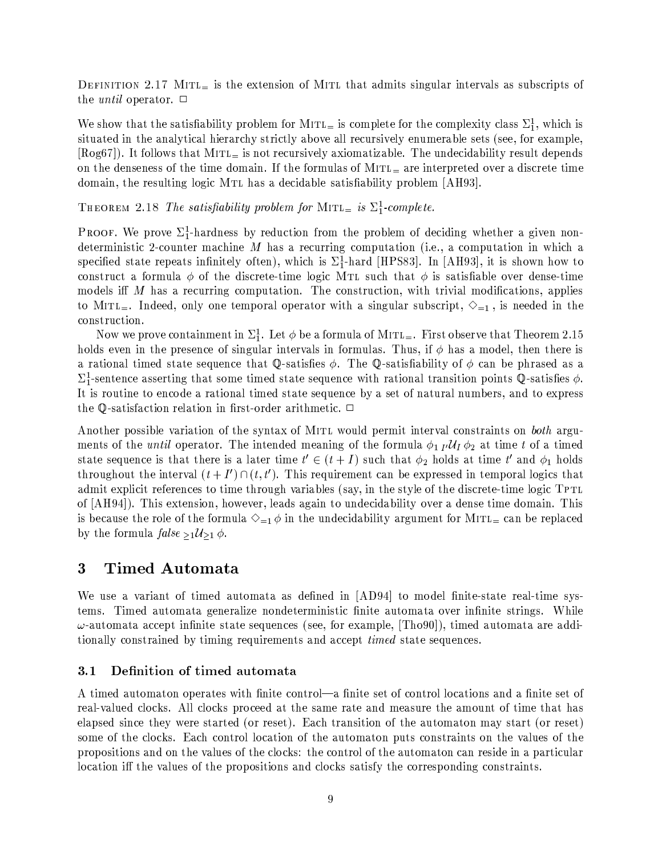DEFINITION 2.17 MITL is the extension of MITL that admits singular intervals as subscripts of the *until* operator.  $\Box$ 

We show that the satisfiability problem for MITL<sub></sub> is complete for the complexity class  $\Sigma_1^1$ , which is situated in the analytical hierarchy strictly above all recursively enumerable sets (see, for example,  $[\text{Reg67}]$ ). It follows that MITL<sub>=</sub> is not recursively axiomatizable. The undecidability result depends on the denseness of the time domain. If the formulas of  $MITL<sub>=</sub>$  are interpreted over a discrete time domain, the resulting logic MTL has a decidable satisfiability problem [AH93].

THEOREM 2.18 The satisfiability problem for MITL<sub>=</sub> is  $\Sigma_1^1$ -complete.

**PROOF.** We prove  $\Sigma_1^1$ -hardness by reduction from the problem of deciding whether a given nondeterministic 2-counter machine  $M$  has a recurring computation (i.e., a computation in which a specified state repeats infinitely often), which is  $\Sigma_1^1$ -hard [HPS83]. In [AH93], it is shown how to construct a formula  $\phi$  of the discrete-time logic MTL such that  $\phi$  is satisfiable over dense-time models iff M has a recurring computation. The construction, with trivial modifications, applies to MITL<sub>=</sub>. Indeed, only one temporal operator with a singular subscript,  $\Diamond_{=1}$ , is needed in the construction.

Now we prove containment in  $\Sigma_1^1$ . Let  $\phi$  be a formula of MITL<sub>=</sub>. First observe that Theorem 2.15 holds even in the presence of singular intervals in formulas. Thus, if  $\phi$  has a model, then there is a rational timed state sequence that Q-satisfies  $\phi$ . The Q-satisfiability of  $\phi$  can be phrased as a  $\Sigma_1^1$ -sentence asserting that some timed state sequence with rational transition points Q-satisfies  $\phi$ . It is routine to encode a rational timed state sequence by a set of natural numbers, and to express the Q-satisfaction relation in first-order arithmetic.  $\Box$ 

Another possible variation of the syntax of MITL would permit interval constraints on both arguments of the *until* operator. The intended meaning of the formula  $\phi_1$   $_I$   $\mathcal{U}_I$   $\phi_2$  at time t of a timed state sequence is that there is a later time  $t' \in (t + I)$  such that  $\phi_2$  holds at time t' and  $\phi_1$  holds throughout the interval  $(t+I') \cap (t,t')$ . This requirement can be expressed in temporal logics that admit explicit references to time through variables (say, in the style of the discrete-time logic TPTL of [AH94]). This extension, however, leads again to undecidability over a dense time domain. This is because the role of the formula  $\Diamond_{=1} \phi$  in the undecidability argument for MITL<sub>=</sub> can be replaced by the formula  $false_{\geq 1} \mathcal{U}_{\geq 1} \phi$ .

## Timed Automata 3

We use a variant of timed automata as defined in [AD94] to model finite-state real-time systems. Timed automata generalize nondeterministic finite automata over infinite strings. While  $\omega$ -automata accept infinite state sequences (see, for example, [Tho90]), timed automata are additionally constrained by timing requirements and accept *timed* state sequences.

#### Definition of timed automata  $3.1$

A timed automaton operates with finite control—a finite set of control locations and a finite set of real-valued clocks. All clocks proceed at the same rate and measure the amount of time that has elapsed since they were started (or reset). Each transition of the automaton may start (or reset) some of the clocks. Each control location of the automaton puts constraints on the values of the propositions and on the values of the clocks: the control of the automaton can reside in a particular location iff the values of the propositions and clocks satisfy the corresponding constraints.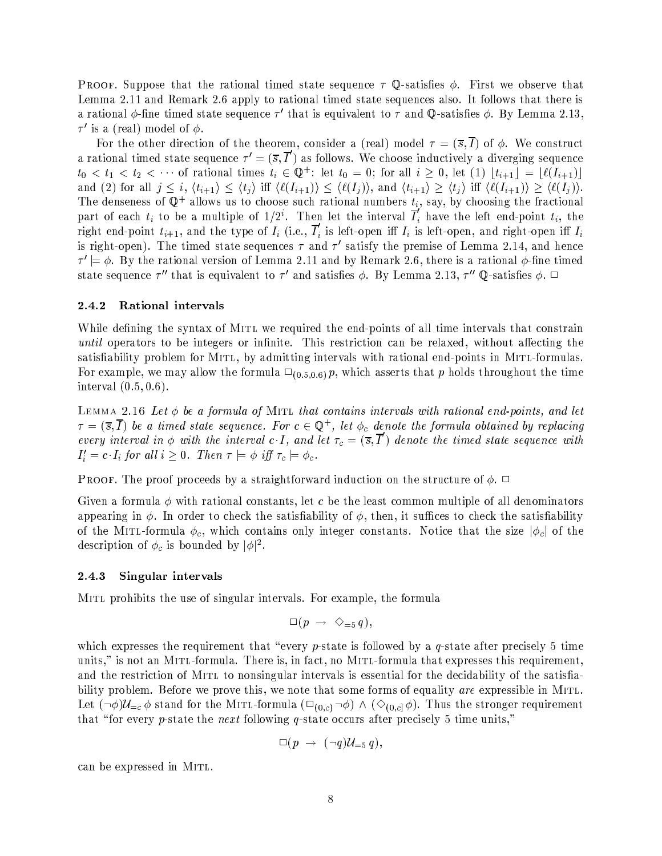**PROOF.** Suppose that the rational timed state sequence  $\tau$  Q-satisfies  $\phi$ . First we observe that Lemma 2.11 and Remark 2.6 apply to rational timed state sequences also. It follows that there is a rational  $\phi$ -fine timed state sequence  $\tau'$  that is equivalent to  $\tau$  and  $\mathbb{O}$ -satisfies  $\phi$ . By Lemma 2.13,  $\tau'$  is a (real) model of  $\phi$ .

For the other direction of the theorem, consider a (real) model  $\tau = (\bar{s}, \bar{I})$  of  $\phi$ . We construct a rational timed state sequence  $\tau' = (\bar{s}, \bar{T})$  as follows. We choose inductively a diverging sequence  $t_0 < t_1 < t_2 < \cdots$  of rational times  $t_i \in \mathbb{Q}^+$ : let  $t_0 = 0$ ; for all  $i \geq 0$ , let (1)  $|t_{i+1}| = |\ell(I_{i+1})|$ and (2) for all  $j \leq i$ ,  $\langle t_{i+1} \rangle \leq \langle t_j \rangle$  iff  $\langle \ell(I_{i+1}) \rangle \leq \langle \ell(I_j) \rangle$ , and  $\langle t_{i+1} \rangle \geq \langle t_j \rangle$  iff  $\langle \ell(I_{i+1}) \rangle \geq \langle \ell(I_j) \rangle$ . The denseness of  $\mathbb{Q}^+$  allows us to choose such rational numbers  $t_i$ , say, by choosing the fractional part of each  $t_i$  to be a multiple of  $1/2^i$ . Then let the interval  $\overline{I}'_i$  have the left end-point  $t_i$ , the right end-point  $t_{i+1}$ , and the type of  $I_i$  (i.e.,  $\overline{I}'_i$  is left-open iff  $I_i$  is left-open, and right-open iff  $I_i$ is right-open). The timed state sequences  $\tau$  and  $\tau'$  satisfy the premise of Lemma 2.14, and hence  $\tau' \models \phi$ . By the rational version of Lemma 2.11 and by Remark 2.6, there is a rational  $\phi$ -fine timed state sequence  $\tau''$  that is equivalent to  $\tau'$  and satisfies  $\phi$ . By Lemma 2.13,  $\tau''$  Q-satisfies  $\phi$ .  $\Box$ 

#### 2.4.2 Rational intervals

While defining the syntax of MITL we required the end-points of all time intervals that constrain *until* operators to be integers or infinite. This restriction can be relaxed, without affecting the satisfiability problem for MITL, by admitting intervals with rational end-points in MITL-formulas. For example, we may allow the formula  $\Box_{(0.5,0.6)} p$ , which asserts that p holds throughout the time interval  $(0.5, 0.6)$ .

LEMMA 2.16 Let  $\phi$  be a formula of MITL that contains intervals with rational end-points, and let  $\tau = (\overline{s}, \overline{I})$  be a timed state sequence. For  $c \in \mathbb{Q}^+$ , let  $\phi_c$  denote the formula obtained by replacing every interval in  $\phi$  with the interval c I, and let  $\tau_c = (\bar{s}, \bar{I}')$  denote the timed state sequence with  $I'_i = c \cdot I_i$  for all  $i \geq 0$ . Then  $\tau \models \phi$  iff  $\tau_c \models \phi_c$ .

**PROOF.** The proof proceeds by a straightforward induction on the structure of  $\phi$ .  $\Box$ 

Given a formula  $\phi$  with rational constants, let c be the least common multiple of all denominators appearing in  $\phi$ . In order to check the satisfiability of  $\phi$ , then, it suffices to check the satisfiability of the MITL-formula  $\phi_c$ , which contains only integer constants. Notice that the size  $|\phi_c|$  of the description of  $\phi_c$  is bounded by  $|\phi|^2$ .

#### 2.4.3 Singular intervals

MITL prohibits the use of singular intervals. For example, the formula

$$
\Box(p \ \rightarrow \ \Diamond_{=5} q),
$$

which expresses the requirement that "every p-state is followed by a  $q$ -state after precisely 5 time units," is not an MITL-formula. There is, in fact, no MITL-formula that expresses this requirement, and the restriction of MITL to nonsingular intervals is essential for the decidability of the satisfiability problem. Before we prove this, we note that some forms of equality are expressible in MITL. Let  $(\neg \phi)U_{=c} \phi$  stand for the MITL-formula  $(\Box_{(0,c)} \neg \phi) \land (\Diamond_{(0,c)} \phi)$ . Thus the stronger requirement that "for every p-state the next following q-state occurs after precisely 5 time units,"

$$
\Box(p\;\rightarrow\;(\neg q)\mathcal{U}_{\equiv 5}\,q),
$$

can be expressed in MITL.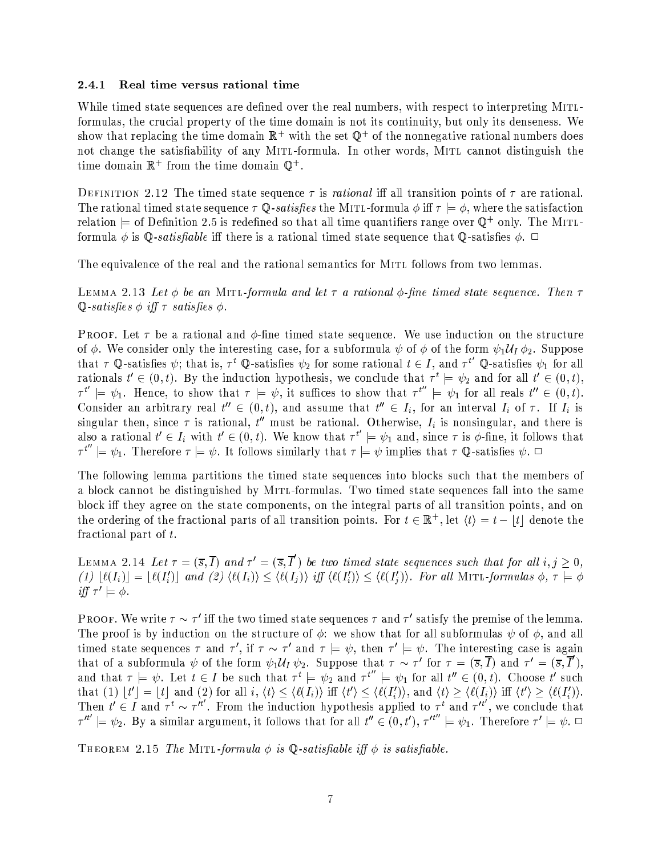#### 2.4.1 Real time versus rational time

While timed state sequences are defined over the real numbers, with respect to interpreting MITLformulas, the crucial property of the time domain is not its continuity, but only its denseness. We show that replacing the time domain  $\mathbb{R}^+$  with the set  $\mathbb{Q}^+$  of the nonnegative rational numbers does not change the satisfiability of any MITL-formula. In other words, MITL cannot distinguish the time domain  $\mathbb{R}^+$  from the time domain  $\mathbb{Q}^+$ .

DEFINITION 2.12 The timed state sequence  $\tau$  is *rational* iff all transition points of  $\tau$  are rational. The rational timed state sequence  $\tau \mathbb{Q}$ -satisfies the MITL-formula  $\phi$  iff  $\tau \models \phi$ , where the satisfaction relation  $\models$  of Definition 2.5 is redefined so that all time quantifiers range over  $\mathbb{Q}^+$  only. The MITLformula  $\phi$  is Q-satisfiable iff there is a rational timed state sequence that Q-satisfies  $\phi$ .  $\Box$ 

The equivalence of the real and the rational semantics for MITL follows from two lemmas.

LEMMA 2.13 Let  $\phi$  be an MITL-formula and let  $\tau$  a rational  $\phi$ -fine timed state sequence. Then  $\tau$ Q-satisfies  $\phi$  iff  $\tau$  satisfies  $\phi$ .

**PROOF.** Let  $\tau$  be a rational and  $\phi$ -fine timed state sequence. We use induction on the structure of  $\phi$ . We consider only the interesting case, for a subformula  $\psi$  of  $\phi$  of the form  $\psi_1 \mathcal{U}_I \phi_2$ . Suppose that  $\tau$  Q-satisfies  $\psi$ ; that is,  $\tau^t$  Q-satisfies  $\psi_2$  for some rational  $t \in I$ , and  $\tau^{t'}$  Q-satisfies  $\psi_1$  for all rationals  $t' \in (0, t)$ . By the induction hypothesis, we conclude that  $\tau^t \models \psi_2$  and for all  $t' \in (0, t)$ ,  $\tau^{t'} \models \psi_1$ . Hence, to show that  $\tau \models \psi$ , it suffices to show that  $\tau^{t''} \models \psi_1$  for all reals  $t'' \in (0, t)$ . Consider an arbitrary real  $t'' \in (0, t)$ , and assume that  $t'' \in I_i$ , for an interval  $I_i$  of  $\tau$ . If  $I_i$  is singular then, since  $\tau$  is rational,  $t''$  must be rational. Otherwise,  $I_i$  is nonsingular, and there is also a rational  $t' \in I_i$  with  $t' \in (0, t)$ . We know that  $\tau^{t'} \models \psi_1$  and, since  $\tau$  is  $\phi$ -fine, it follows that  $\tau^{t''} \models \psi_1$ . Therefore  $\tau \models \psi$ . It follows similarly that  $\tau \models \psi$  implies that  $\tau \mathbb{Q}$ -satisfies  $\psi$ .

The following lemma partitions the timed state sequences into blocks such that the members of a block cannot be distinguished by MITL-formulas. Two timed state sequences fall into the same block iff they agree on the state components, on the integral parts of all transition points, and on the ordering of the fractional parts of all transition points. For  $t \in \mathbb{R}^+$ , let  $\langle t \rangle = t - |t|$  denote the fractional part of  $t$ .

LEMMA 2.14 Let  $\tau = (\overline{s}, \overline{I})$  and  $\tau' = (\overline{s}, \overline{I}')$  be two timed state sequences such that for all  $i, j \geq 0$ , (1)  $\lfloor \ell(I_i) \rfloor = \lfloor \ell(I'_i) \rfloor$  and (2)  $\langle \ell(I_i) \rangle \leq \langle \ell(I'_j) \rangle$  iff  $\langle \ell(I'_i) \rangle \leq \langle \ell(I'_i) \rangle$ . For all MITL-formulas  $\phi, \tau \models \phi$ iff  $\tau' \models \phi$ .

**PROOF.** We write  $\tau \sim \tau'$  iff the two timed state sequences  $\tau$  and  $\tau'$  satisfy the premise of the lemma. The proof is by induction on the structure of  $\phi$ : we show that for all subformulas  $\psi$  of  $\phi$ , and all timed state sequences  $\tau$  and  $\tau'$ , if  $\tau \sim \tau'$  and  $\tau \models \psi$ , then  $\tau' \models \psi$ . The interesting case is again that of a subformula  $\psi$  of the form  $\psi_1 \mathcal{U}_I \psi_2$ . Suppose that  $\tau \sim \tau'$  for  $\tau = (\overline{s}, \overline{I})$  and  $\tau' = (\overline{s}, \overline{I}')$ , and that  $\tau \models \psi$ . Let  $t \in I$  be such that  $\tau^t \models \psi_2$  and  $\tau^{t''} \models \psi_1$  for all  $t'' \in (0, t)$ . Choose t' such that (1)  $|t'| = |t|$  and (2) for all  $i, \langle t \rangle \leq \langle \ell(I_i) \rangle$  iff  $\langle t' \rangle \leq \langle \ell(I'_i) \rangle$ , and  $\langle t \rangle \geq \langle \ell(I_i) \rangle$  iff  $\langle t' \rangle \geq \langle \ell(I'_i) \rangle$ . Then  $t' \in I$  and  $\tau^t \sim \tau^{it'}$ . From the induction hypothesis applied to  $\tau^t$  and  $\tau^{it'}$ , we conclude that  $\tau^{it'} \models \psi_2$ . By a similar argument, it follows that for all  $t'' \in (0, t')$ ,  $\tau^{it''} \models \psi_1$ . Therefore  $\tau' \models \psi$ .

THEOREM 2.15 The MITL-formula  $\phi$  is Q-satisfiable iff  $\phi$  is satisfiable.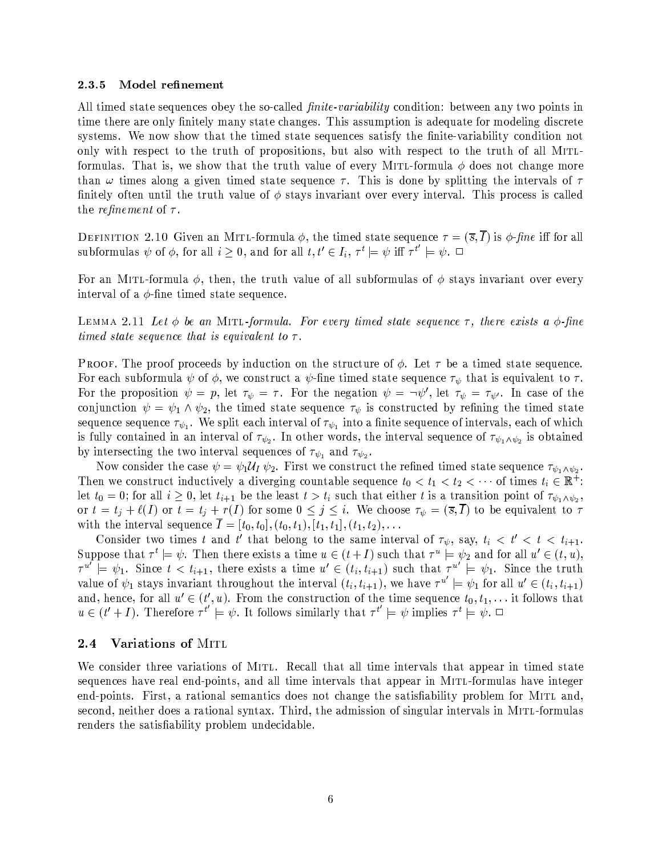#### 2.3.5 Model refinement

All timed state sequences obey the so-called *finite-variability* condition: between any two points in time there are only finitely many state changes. This assumption is adequate for modeling discrete systems. We now show that the timed state sequences satisfy the finite-variability condition not only with respect to the truth of propositions, but also with respect to the truth of all MITLformulas. That is, we show that the truth value of every MITL-formula  $\phi$  does not change more than  $\omega$  times along a given timed state sequence  $\tau$ . This is done by splitting the intervals of  $\tau$ finitely often until the truth value of  $\phi$  stays invariant over every interval. This process is called the *refinement* of  $\tau$ .

DEFINITION 2.10 Given an MITL-formula  $\phi$ , the timed state sequence  $\tau = (\bar{s}, \bar{I})$  is  $\phi$ -fine iff for all subformulas  $\psi$  of  $\phi$ , for all  $i \geq 0$ , and for all  $t, t' \in I_i$ ,  $\tau^t \models \psi$  iff  $\tau^{t'} \models \psi$ .

For an MITL-formula  $\phi$ , then, the truth value of all subformulas of  $\phi$  stays invariant over every interval of a  $\phi$ -fine timed state sequence.

LEMMA 2.11 Let  $\phi$  be an MITL-formula. For every timed state sequence  $\tau$ , there exists a  $\phi$ -fine timed state sequence that is equivalent to  $\tau$ .

**PROOF.** The proof proceeds by induction on the structure of  $\phi$ . Let  $\tau$  be a timed state sequence. For each subformula  $\psi$  of  $\phi$ , we construct a  $\psi$ -fine timed state sequence  $\tau_{\psi}$  that is equivalent to  $\tau$ . For the proposition  $\psi = p$ , let  $\tau_{\psi} = \tau$ . For the negation  $\psi = \neg \psi'$ , let  $\tau_{\psi} = \tau_{\psi'}$ . In case of the conjunction  $\psi = \psi_1 \wedge \psi_2$ , the timed state sequence  $\tau_{\psi}$  is constructed by refining the timed state sequence sequence  $\tau_{\psi_1}$ . We split each interval of  $\tau_{\psi_1}$  into a finite sequence of intervals, each of which is fully contained in an interval of  $\tau_{\psi_2}$ . In other words, the interval sequence of  $\tau_{\psi_1 \wedge \psi_2}$  is obtained by intersecting the two interval sequences of  $\tau_{\psi_1}$  and  $\tau_{\psi_2}$ .

Now consider the case  $\psi = \psi_1 \mathcal{U}_I \psi_2$ . First we construct the refined timed state sequence  $\tau_{\psi_1 \wedge \psi_2}$ . Then we construct inductively a diverging countable sequence  $t_0 < t_1 < t_2 < \cdots$  of times  $t_i \in \mathbb{R}^+$ : let  $t_0 = 0$ ; for all  $i \geq 0$ , let  $t_{i+1}$  be the least  $t > t_i$  such that either t is a transition point of  $\tau_{\psi_1 \wedge \psi_2}$ , or  $t = t_j + \ell(I)$  or  $t = t_j + r(I)$  for some  $0 \leq j \leq i$ . We choose  $\tau_{\psi} = (\overline{s}, \overline{I})$  to be equivalent to  $\tau$ with the interval sequence  $\overline{I} = [t_0, t_0], (t_0, t_1), [t_1, t_1], (t_1, t_2), \ldots$ 

Consider two times t and t' that belong to the same interval of  $\tau_{\psi}$ , say,  $t_i \leq t' \leq t \leq t_{i+1}$ . Suppose that  $\tau^t \models \psi$ . Then there exists a time  $u \in (t+I)$  such that  $\tau^u \models \psi_2$  and for all  $u' \in (t, u)$ ,  $\tau^{u'}\stackrel{\cdot}{=} \psi_1$ . Since  $t < t_{i+1}$ , there exists a time  $u' \in (t_i, t_{i+1})$  such that  $\tau^{u'}\stackrel{\cdot}{=} \psi_1$ . Since the truth value of  $\psi_1$  stays invariant throughout the interval  $(t_i, t_{i+1})$ , we have  $\tau^{u'} \models \psi_1$  for all  $u' \in (t_i, t_{i+1})$ and, hence, for all  $u' \in (t', u)$ . From the construction of the time sequence  $t_0, t_1, \ldots$  it follows that  $u \in (t'+I)$ . Therefore  $\tau^{t'} \models \psi$ . It follows similarly that  $\tau^{t'} \models \psi$  implies  $\tau^t \models \psi$ .

#### $2.4$ Variations of MITL

We consider three variations of MITL. Recall that all time intervals that appear in timed state sequences have real end-points, and all time intervals that appear in MITL-formulas have integer end-points. First, a rational semantics does not change the satisfiability problem for MITL and, second, neither does a rational syntax. Third, the admission of singular intervals in MITL-formulas renders the satisfiability problem undecidable.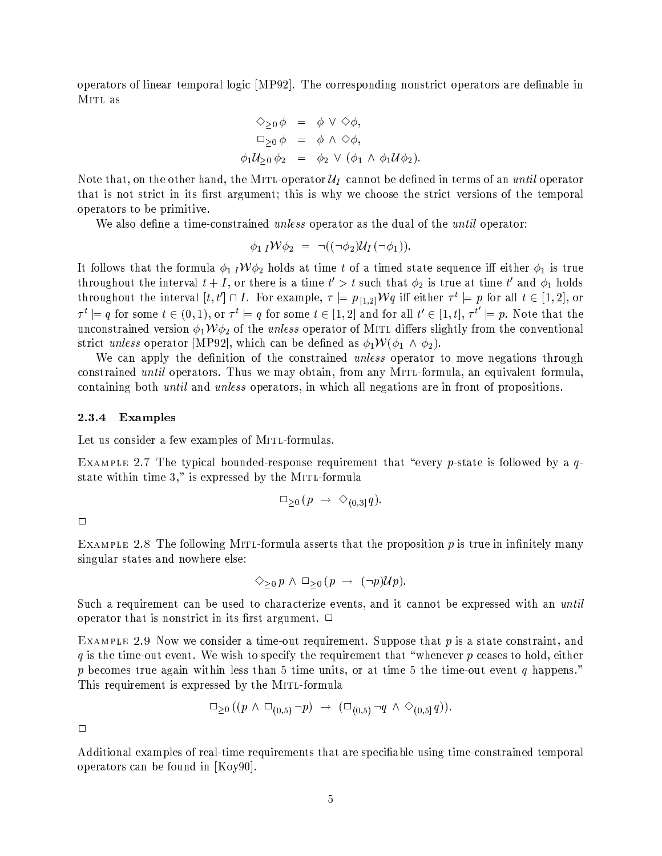operators of linear temporal logic [MP92]. The corresponding nonstrict operators are definable in MITL as

$$
\diamondsuit_{\geq 0} \phi = \phi \lor \diamondsuit \phi,
$$
  
\n
$$
\Box_{\geq 0} \phi = \phi \land \diamondsuit \phi,
$$
  
\n
$$
\phi_1 \mathcal{U}_{\geq 0} \phi_2 = \phi_2 \lor (\phi_1 \land \phi_1 \mathcal{U} \phi_2).
$$

Note that, on the other hand, the MITL-operator  $\mathcal{U}_I$  cannot be defined in terms of an *until* operator that is not strict in its first argument; this is why we choose the strict versions of the temporal operators to be primitive.

We also define a time-constrained *unless* operator as the dual of the *until* operator:

$$
\phi_{1 I} \mathcal{W} \phi_2 = \neg ((\neg \phi_2) \mathcal{U}_I (\neg \phi_1)).
$$

It follows that the formula  $\phi_1 I W \phi_2$  holds at time t of a timed state sequence iff either  $\phi_1$  is true throughout the interval  $t + I$ , or there is a time  $t' > t$  such that  $\phi_2$  is true at time t' and  $\phi_1$  holds throughout the interval  $[t, t'] \cap I$ . For example,  $\tau \models p_{[1,2]} \mathcal{W}q$  iff either  $\tau^t \models p$  for all  $t \in [1,2]$ , or  $\tau^t \models q$  for some  $t \in (0,1)$ , or  $\tau^t \models q$  for some  $t \in [1,2]$  and for all  $t' \in [1,t]$ ,  $\tau^{t'} \models p$ . Note that the unconstrained version  $\phi_1 \mathcal{W} \phi_2$  of the *unless* operator of MITL differs slightly from the conventional strict unless operator [MP92], which can be defined as  $\phi_1 \mathcal{W}(\phi_1 \wedge \phi_2)$ .

We can apply the definition of the constrained *unless* operator to move negations through constrained *until* operators. Thus we may obtain, from any MITL-formula, an equivalent formula, containing both *until* and *unless* operators, in which all negations are in front of propositions.

#### 2.3.4 Examples

Let us consider a few examples of MITL-formulas.

EXAMPLE 2.7 The typical bounded-response requirement that "every p-state is followed by a  $q$ state within time 3," is expressed by the MITL-formula

$$
\Box_{\geq 0} (p \rightarrow \Diamond_{(0,3]} q).
$$

 $\Box$ 

EXAMPLE 2.8 The following MITL-formula asserts that the proposition  $p$  is true in infinitely many singular states and nowhere else:

$$
\Diamond_{\geq 0} p \land \Box_{\geq 0} (p \rightarrow (\neg p) \mathcal{U} p).
$$

Such a requirement can be used to characterize events, and it cannot be expressed with an until operator that is nonstrict in its first argument.  $\Box$ 

EXAMPLE 2.9 Now we consider a time-out requirement. Suppose that  $p$  is a state constraint, and  $q$  is the time-out event. We wish to specify the requirement that "whenever  $p$  ceases to hold, either p becomes true again within less than 5 time units, or at time 5 the time-out event q happens." This requirement is expressed by the MITL-formula

$$
\Box_{\geq 0} ((p \land \Box_{(0,5)} \neg p) \rightarrow (\Box_{(0,5)} \neg q \land \Diamond_{(0,5)} q))
$$

 $\Box$ 

Additional examples of real-time requirements that are specifiable using time-constrained temporal operators can be found in  $[Koy90]$ .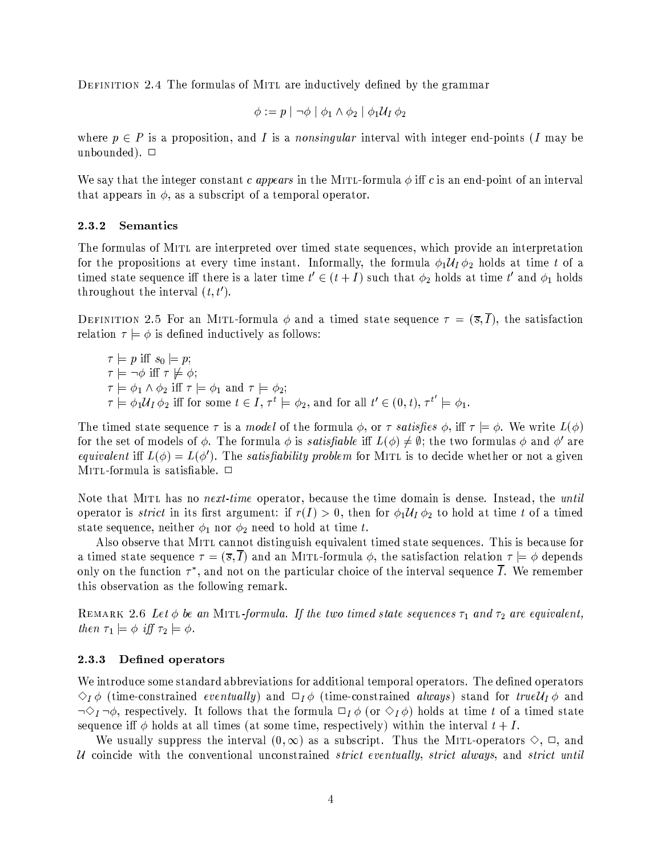DEFINITION 2.4 The formulas of MITL are inductively defined by the grammar

$$
\phi:=p\mid\neg\phi\mid\phi_1\wedge\phi_2\mid\phi_1\mathcal{U}_I\,\phi_2
$$

where  $p \in P$  is a proposition, and I is a *nonsingular* interval with integer end-points (I may be unbounded).  $\Box$ 

We say that the integer constant c appears in the MITL-formula  $\phi$  iff c is an end-point of an interval that appears in  $\phi$ , as a subscript of a temporal operator.

#### 2.3.2 **Semantics**

The formulas of MITL are interpreted over timed state sequences, which provide an interpretation for the propositions at every time instant. Informally, the formula  $\phi_1 \mathcal{U}_I \phi_2$  holds at time t of a timed state sequence iff there is a later time  $t' \in (t + I)$  such that  $\phi_2$  holds at time t' and  $\phi_1$  holds throughout the interval  $(t, t')$ .

DEFINITION 2.5 For an MITL-formula  $\phi$  and a timed state sequence  $\tau = (\bar{s}, \bar{I})$ , the satisfaction relation  $\tau \models \phi$  is defined inductively as follows:

 $\tau = p$  iff  $s_0 = p$ ;  $\tau \models \neg \phi$  iff  $\tau \not\models \phi$ ;  $\tau \models \phi_1 \land \phi_2$  iff  $\tau \models \phi_1$  and  $\tau \models \phi_2$ ;<br>  $\tau \models \phi_1 \mathcal{U}_I \phi_2$  iff for some  $t \in I$ ,  $\tau^t \models \phi_2$ , and for all  $t' \in (0, t)$ ,  $\tau^{t'} \models \phi_1$ .

The timed state sequence  $\tau$  is a *model* of the formula  $\phi$ , or  $\tau$  *satisfies*  $\phi$ , iff  $\tau \models \phi$ . We write  $L(\phi)$ for the set of models of  $\phi$ . The formula  $\phi$  is *satisfiable* iff  $L(\phi) \neq \emptyset$ ; the two formulas  $\phi$  and  $\phi'$  are *equivalent* iff  $L(\phi) = L(\phi')$ . The *satisfiability problem* for MITL is to decide whether or not a given MITL-formula is satisfiable.  $\Box$ 

Note that MITL has no *next-time* operator, because the time domain is dense. Instead, the *until* operator is *strict* in its first argument: if  $r(I) > 0$ , then for  $\phi_1 \mathcal{U}_I \phi_2$  to hold at time t of a timed state sequence, neither  $\phi_1$  nor  $\phi_2$  need to hold at time t.

Also observe that MITL cannot distinguish equivalent timed state sequences. This is because for a timed state sequence  $\tau = (\bar{s}, I)$  and an MITL-formula  $\phi$ , the satisfaction relation  $\tau = \phi$  depends only on the function  $\tau^*$ , and not on the particular choice of the interval sequence  $\overline{I}$ . We remember this observation as the following remark.

REMARK 2.6 Let  $\phi$  be an MITL-formula. If the two timed state sequences  $\tau_1$  and  $\tau_2$  are equivalent, then  $\tau_1 \models \phi$  iff  $\tau_2 \models \phi$ .

#### Defined operators 2.3.3

We introduce some standard abbreviations for additional temporal operators. The defined operators  $\Diamond_I \phi$  (time-constrained *eventually*) and  $\Box_I \phi$  (time-constrained *always*) stand for true $\mathcal{U}_I \phi$  and  $\neg \Diamond_I \neg \phi$ , respectively. It follows that the formula  $\Box_I \phi$  (or  $\Diamond_I \phi$ ) holds at time t of a timed state sequence iff  $\phi$  holds at all times (at some time, respectively) within the interval  $t + I$ .

We usually suppress the interval  $(0,\infty)$  as a subscript. Thus the MITL-operators  $\Diamond, \Box$ , and U coincide with the conventional unconstrained *strict eventually, strict always*, and *strict until*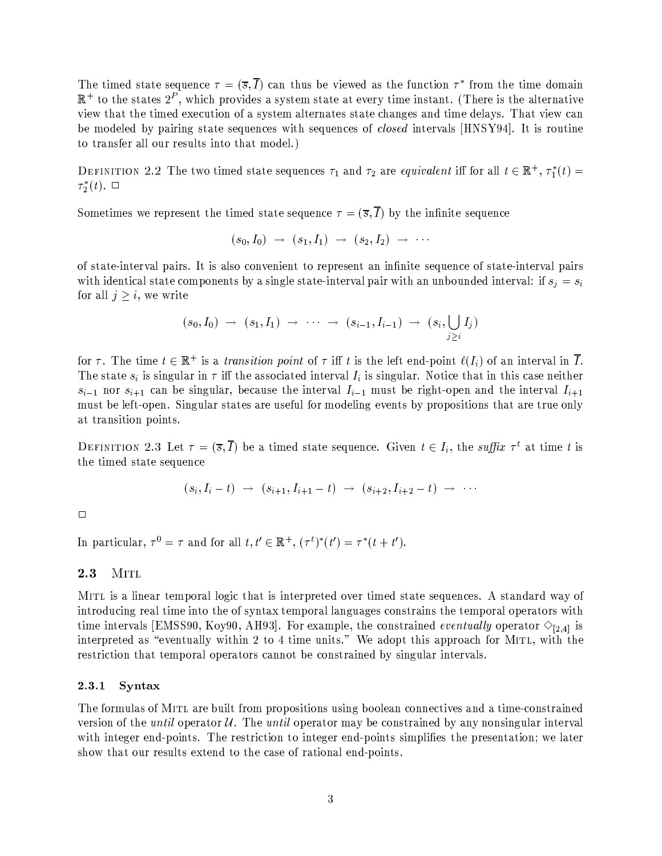The timed state sequence  $\tau = (\bar{s}, \bar{I})$  can thus be viewed as the function  $\tau^*$  from the time domain  $\mathbb{R}^+$  to the states  $2^P$ , which provides a system state at every time instant. (There is the alternative view that the timed execution of a system alternates state changes and time delays. That view can be modeled by pairing state sequences with sequences of *closed* intervals [HNSY94]. It is routine to transfer all our results into that model.)

DEFINITION 2.2 The two timed state sequences  $\tau_1$  and  $\tau_2$  are equivalent iff for all  $t \in \mathbb{R}^+$ ,  $\tau_1^*(t)$  =  $\tau_2^*(t)$ .  $\Box$ 

Sometimes we represent the timed state sequence  $\tau = (\overline{s}, \overline{I})$  by the infinite sequence

$$
(s_0,I_0) \ \to \ (s_1,I_1) \ \to \ (s_2,I_2) \ \to \ \cdots
$$

of state-interval pairs. It is also convenient to represent an infinite sequence of state-interval pairs with identical state components by a single state-interval pair with an unbounded interval: if  $s_i = s_i$ for all  $j \geq i$ , we write

$$
(s_0, I_0) \rightarrow (s_1, I_1) \rightarrow \cdots \rightarrow (s_{i-1}, I_{i-1}) \rightarrow (s_i, \bigcup_{j \geq i} I_j)
$$

for  $\tau$ . The time  $t \in \mathbb{R}^+$  is a *transition point* of  $\tau$  iff t is the left end-point  $\ell(I_i)$  of an interval in  $\overline{I}$ . The state  $s_i$  is singular in  $\tau$  iff the associated interval  $I_i$  is singular. Notice that in this case neither  $s_{i-1}$  nor  $s_{i+1}$  can be singular, because the interval  $I_{i-1}$  must be right-open and the interval  $I_{i+1}$ must be left-open. Singular states are useful for modeling events by propositions that are true only at transition points.

DEFINITION 2.3 Let  $\tau = (\overline{s}, \overline{I})$  be a timed state sequence. Given  $t \in I_i$ , the suffix  $\tau^t$  at time t is the timed state sequence

$$
(s_i, I_i - t) \rightarrow (s_{i+1}, I_{i+1} - t) \rightarrow (s_{i+2}, I_{i+2} - t) \rightarrow \cdots
$$

 $\Box$ 

In particular,  $\tau^0 = \tau$  and for all  $t, t' \in \mathbb{R}^+, (\tau^t)^*(t') = \tau^*(t + t').$ 

#### MITL 2.3

MITL is a linear temporal logic that is interpreted over timed state sequences. A standard way of introducing real time into the of syntax temporal languages constrains the temporal operators with time intervals [EMSS90, Koy90, AH93]. For example, the constrained *eventually* operator  $\Diamond$ <sub>[2.4]</sub> is interpreted as "eventually within 2 to 4 time units." We adopt this approach for MITL, with the restriction that temporal operators cannot be constrained by singular intervals.

#### 2.3.1 Syntax

The formulas of MITL are built from propositions using boolean connectives and a time-constrained version of the *until* operator  $U$ . The *until* operator may be constrained by any nonsingular interval with integer end-points. The restriction to integer end-points simplifies the presentation; we later show that our results extend to the case of rational end-points.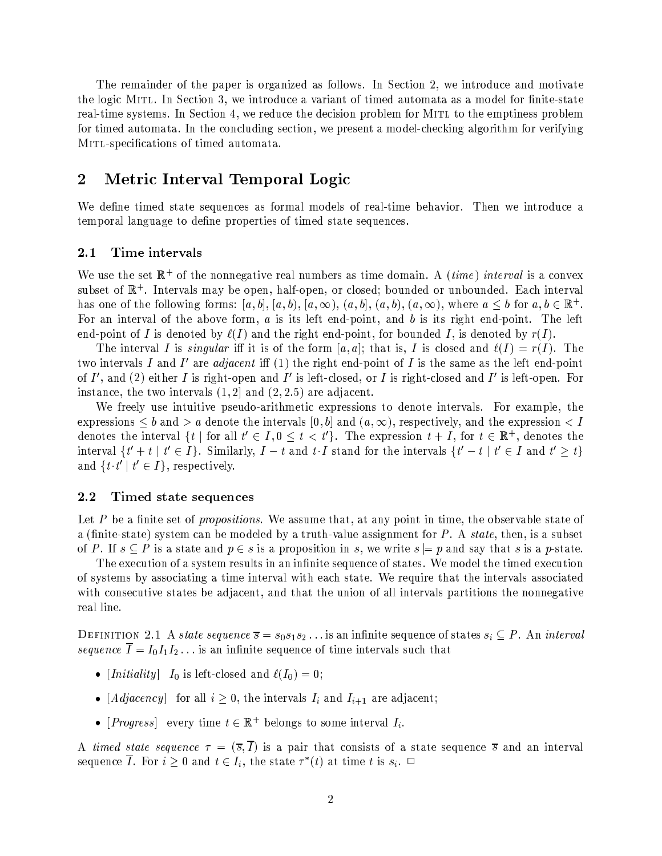The remainder of the paper is organized as follows. In Section 2, we introduce and motivate the logic MITL. In Section 3, we introduce a variant of timed automata as a model for finite-state real-time systems. In Section 4, we reduce the decision problem for MITL to the emptiness problem for timed automata. In the concluding section, we present a model-checking algorithm for verifying MITL-specifications of timed automata.

## Metric Interval Temporal Logic  $\bf{2}$

We define timed state sequences as formal models of real-time behavior. Then we introduce a temporal language to define properties of timed state sequences.

#### Time intervals  $2.1\,$

We use the set  $\mathbb{R}^+$  of the nonnegative real numbers as time domain. A *(time)* interval is a convex subset of  $\mathbb{R}^+$ . Intervals may be open, half-open, or closed; bounded or unbounded. Each interval has one of the following forms:  $[a, b]$ ,  $[a, b)$ ,  $[a, \infty)$ ,  $(a, b)$ ,  $(a, b)$ ,  $(a, \infty)$ , where  $a \leq b$  for  $a, b \in \mathbb{R}^+$ . For an interval of the above form,  $a$  is its left end-point, and  $b$  is its right end-point. The left end-point of I is denoted by  $\ell(I)$  and the right end-point, for bounded I, is denoted by  $r(I)$ .

The interval I is singular iff it is of the form [a, a]; that is, I is closed and  $\ell(I) = r(I)$ . The two intervals I and I' are *adjacent* iff (1) the right end-point of I is the same as the left end-point of  $I'$ , and (2) either I is right-open and I' is left-closed, or I is right-closed and I' is left-open. For instance, the two intervals  $(1,2]$  and  $(2,2.5)$  are adjacent.

We freely use intuitive pseudo-arithmetic expressions to denote intervals. For example, the expressions  $\leq b$  and  $> a$  denote the intervals  $[0, b]$  and  $(a, \infty)$ , respectively, and the expression  $\lt I$ denotes the interval  $\{t \mid \text{for all } t' \in I, 0 \leq t < t'\}.$  The expression  $t + I$ , for  $t \in \mathbb{R}^+$ , denotes the interval  $\{t' + t \mid t' \in I\}$ . Similarly,  $I - t$  and  $t \cdot I$  stand for the intervals  $\{t' - t \mid t' \in I \text{ and } t' \geq t\}$ and  $\{t \cdot t' \mid t' \in I\}$ , respectively.

#### $2.2$ Timed state sequences

Let P be a finite set of *propositions*. We assume that, at any point in time, the observable state of a (finite-state) system can be modeled by a truth-value assignment for  $P$ . A state, then, is a subset of P. If  $s \subseteq P$  is a state and  $p \in s$  is a proposition in s, we write  $s \models p$  and say that s is a p-state.

The execution of a system results in an infinite sequence of states. We model the timed execution of systems by associating a time interval with each state. We require that the intervals associated with consecutive states be adjacent, and that the union of all intervals partitions the nonnegative real line.

DEFINITION 2.1 A state sequence  $\overline{s} = s_0 s_1 s_2 \dots$  is an infinite sequence of states  $s_i \subseteq P$ . An *interval* sequence  $\overline{I} = I_0 I_1 I_2 \dots$  is an infinite sequence of time intervals such that

- [*Initiality*]  $I_0$  is left-closed and  $\ell(I_0) = 0$ ;
- [*Adjacency*] for all  $i \geq 0$ , the intervals  $I_i$  and  $I_{i+1}$  are adjacent;
- [*Progress*] every time  $t \in \mathbb{R}^+$  belongs to some interval  $I_i$ .

A timed state sequence  $\tau = (\bar{s}, \bar{I})$  is a pair that consists of a state sequence  $\bar{s}$  and an interval sequence  $\overline{I}$ . For  $i \geq 0$  and  $t \in I_i$ , the state  $\tau^*(t)$  at time t is  $s_i$ .  $\Box$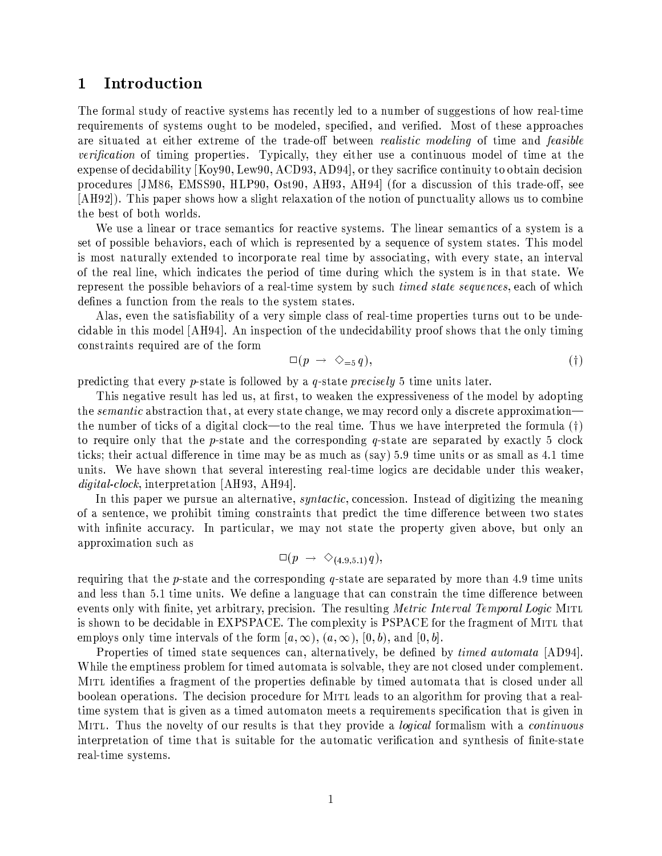### Introduction  $\mathbf 1$

The formal study of reactive systems has recently led to a number of suggestions of how real-time requirements of systems ought to be modeled, specified, and verified. Most of these approaches are situated at either extreme of the trade-off between *realistic modeling* of time and *feasible verification* of timing properties. Typically, they either use a continuous model of time at the expense of decidability [Koy90, Lew90, ACD93, AD94], or they sacrifice continuity to obtain decision procedures [JM86, EMSS90, HLP90, Ost90, AH93, AH94] (for a discussion of this trade-off, see [AH92]). This paper shows how a slight relaxation of the notion of punctuality allows us to combine the best of both worlds.

We use a linear or trace semantics for reactive systems. The linear semantics of a system is a set of possible behaviors, each of which is represented by a sequence of system states. This model is most naturally extended to incorporate real time by associating, with every state, an interval of the real line, which indicates the period of time during which the system is in that state. We represent the possible behaviors of a real-time system by such *timed state sequences*, each of which defines a function from the reals to the system states.

Alas, even the satisfiability of a very simple class of real-time properties turns out to be undecidable in this model [AH94]. An inspection of the undecidability proof shows that the only timing constraints required are of the form

$$
\Box(p \rightarrow \Diamond_{=5} q), \tag{\dagger}
$$

predicting that every p-state is followed by a q-state precisely 5 time units later.

This negative result has led us, at first, to weaken the expressiveness of the model by adopting the *semantic* abstraction that, at every state change, we may record only a discrete approximation the number of ticks of a digital clock—to the real time. Thus we have interpreted the formula  $(i)$ to require only that the p-state and the corresponding q-state are separated by exactly 5 clock ticks; their actual difference in time may be as much as (say) 5.9 time units or as small as 4.1 time units. We have shown that several interesting real-time logics are decidable under this weaker, *digital-clock*, interpretation [AH93, AH94].

In this paper we pursue an alternative, *syntactic*, concession. Instead of digitizing the meaning of a sentence, we prohibit timing constraints that predict the time difference between two states with infinite accuracy. In particular, we may not state the property given above, but only an approximation such as

$$
\Box(p\ \rightarrow\ \Diamond_{(4.9,5.1)}q),
$$

requiring that the p-state and the corresponding q-state are separated by more than 4.9 time units and less than 5.1 time units. We define a language that can constrain the time difference between events only with finite, yet arbitrary, precision. The resulting Metric Interval Temporal Logic MITL is shown to be decidable in EXPSPACE. The complexity is PSPACE for the fragment of MITL that employs only time intervals of the form  $[a,\infty), (a,\infty), [0,b),$  and  $[0,b]$ .

Properties of timed state sequences can, alternatively, be defined by *timed automata* [AD94]. While the emptiness problem for timed automata is solvable, they are not closed under complement. MITL identifies a fragment of the properties definable by timed automata that is closed under all boolean operations. The decision procedure for MITL leads to an algorithm for proving that a realtime system that is given as a timed automaton meets a requirements specification that is given in MITL. Thus the novelty of our results is that they provide a *logical* formalism with a *continuous* interpretation of time that is suitable for the automatic verification and synthesis of finite-state real-time systems.